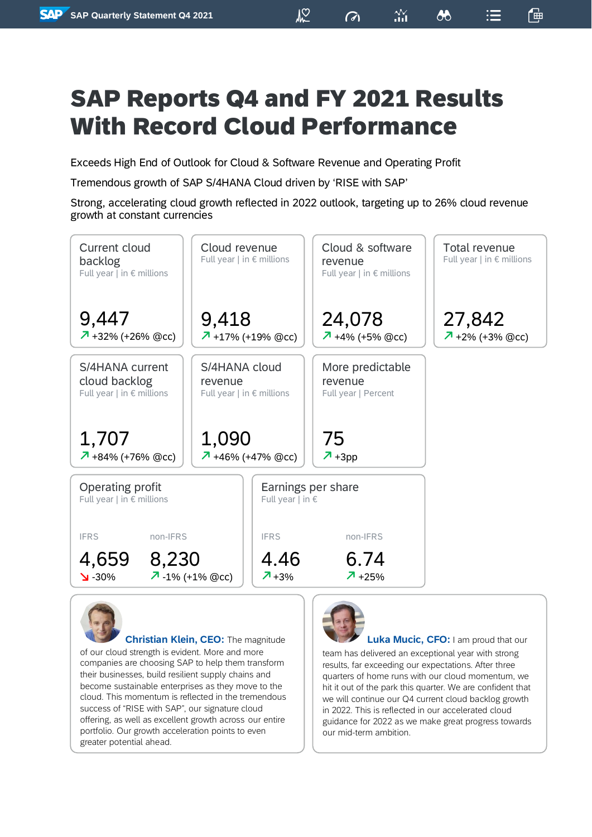$\sqrt{2}$ 

甾

 $\sigma$ 

₩

 $:=$ 

一神

Exceeds High End of Outlook for Cloud & Software Revenue and Operating Profit

Tremendous growth of SAP S/4HANA Cloud driven by 'RISE with SAP'

Strong, accelerating cloud growth reflected in 2022 outlook, targeting up to 26% cloud revenue growth at constant currencies





**Christian Klein, CEO:** The magnitude

of our cloud strength is evident. More and more companies are choosing SAP to help them transform their businesses, build resilient supply chains and become sustainable enterprises as they move to the cloud. This momentum is reflected in the tremendous success of "RISE with SAP", our signature cloud offering, as well as excellent growth across our entire portfolio. Our growth acceleration points to even greater potential ahead.



**Luka Mucic, CFO:** I am proud that our

team has delivered an exceptional year with strong results, far exceeding our expectations. After three quarters of home runs with our cloud momentum, we hit it out of the park this quarter. We are confident that we will continue our Q4 current cloud backlog growth in 2022. This is reflected in our accelerated cloud guidance for 2022 as we make great progress towards our mid-term ambition.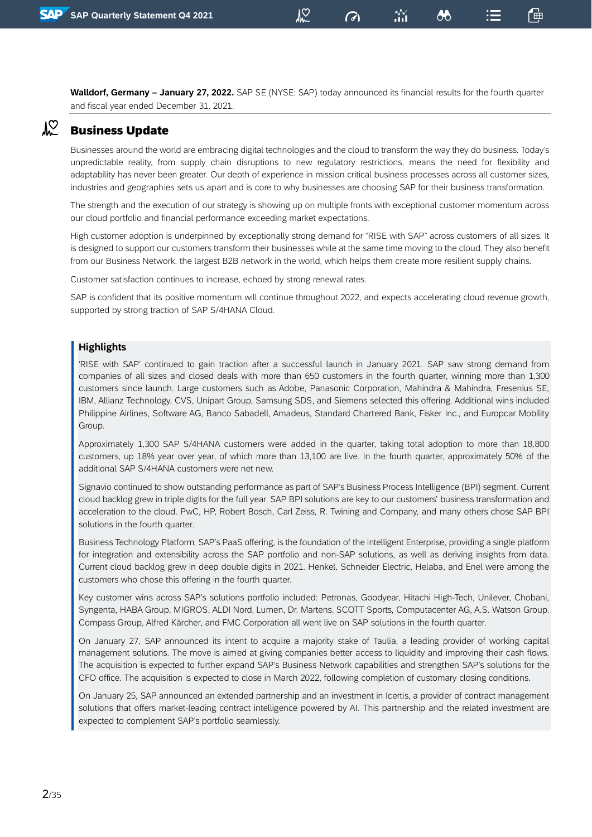**Walldorf, Germany – January 27, 2022.** SAP SE (NYSE: SAP) today announced its financial results for the fourth quarter and fiscal year ended December 31, 2021.

<u>NO</u>

 $\sigma$ 

86

「曲

#### $\sqrt{2}$ Business Update

Businesses around the world are embracing digital technologies and the cloud to transform the way they do business. Today's unpredictable reality, from supply chain disruptions to new regulatory restrictions, means the need for flexibility and adaptability has never been greater. Our depth of experience in mission critical business processes across all customer sizes, industries and geographies sets us apart and is core to why businesses are choosing SAP for their business transformation.

The strength and the execution of our strategy is showing up on multiple fronts with exceptional customer momentum across our cloud portfolio and financial performance exceeding market expectations.

High customer adoption is underpinned by exceptionally strong demand for "RISE with SAP" across customers of all sizes. It is designed to support our customers transform their businesses while at the same time moving to the cloud. They also benefit from our Business Network, the largest B2B network in the world, which helps them create more resilient supply chains.

Customer satisfaction continues to increase, echoed by strong renewal rates.

SAP is confident that its positive momentum will continue throughout 2022, and expects accelerating cloud revenue growth, supported by strong traction of SAP S/4HANA Cloud.

#### **Highlights**

'RISE with SAP' continued to gain traction after a successful launch in January 2021. SAP saw strong demand from companies of all sizes and closed deals with more than 650 customers in the fourth quarter, winning more than 1,300 customers since launch. Large customers such as Adobe, Panasonic Corporation, Mahindra & Mahindra, Fresenius SE, IBM, Allianz Technology, CVS, Unipart Group, Samsung SDS, and Siemens selected this offering. Additional wins included Philippine Airlines, Software AG, Banco Sabadell, Amadeus, Standard Chartered Bank, Fisker Inc., and Europcar Mobility Group.

Approximately 1,300 SAP S/4HANA customers were added in the quarter, taking total adoption to more than 18,800 customers, up 18% year over year, of which more than 13,100 are live. In the fourth quarter, approximately 50% of the additional SAP S/4HANA customers were net new.

Signavio continued to show outstanding performance as part of SAP's Business Process Intelligence (BPI) segment. Current cloud backlog grew in triple digits for the full year. SAP BPI solutions are key to our customers' business transformation and acceleration to the cloud. PwC, HP, Robert Bosch, Carl Zeiss, R. Twining and Company, and many others chose SAP BPI solutions in the fourth quarter.

Business Technology Platform, SAP's PaaS offering, is the foundation of the Intelligent Enterprise, providing a single platform for integration and extensibility across the SAP portfolio and non-SAP solutions, as well as deriving insights from data. Current cloud backlog grew in deep double digits in 2021. Henkel, Schneider Electric, Helaba, and Enel were among the customers who chose this offering in the fourth quarter.

Key customer wins across SAP's solutions portfolio included: Petronas, Goodyear, Hitachi High-Tech, Unilever, Chobani, Syngenta, HABA Group, MIGROS, ALDI Nord, Lumen, Dr. Martens, SCOTT Sports, Computacenter AG, A.S. Watson Group. Compass Group, Alfred Kärcher, and FMC Corporation all went live on SAP solutions in the fourth quarter.

On January 27, SAP announced its intent to acquire a majority stake of Taulia, a leading provider of working capital management solutions. The move is aimed at giving companies better access to liquidity and improving their cash flows. The acquisition is expected to further expand SAP's Business Network capabilities and strengthen SAP's solutions for the CFO office. The acquisition is expected to close in March 2022, following completion of customary closing conditions.

On January 25, SAP announced an extended partnership and an investment in Icertis, a provider of contract management solutions that offers market-leading contract intelligence powered by AI. This partnership and the related investment are expected to complement SAP's portfolio seamlessly.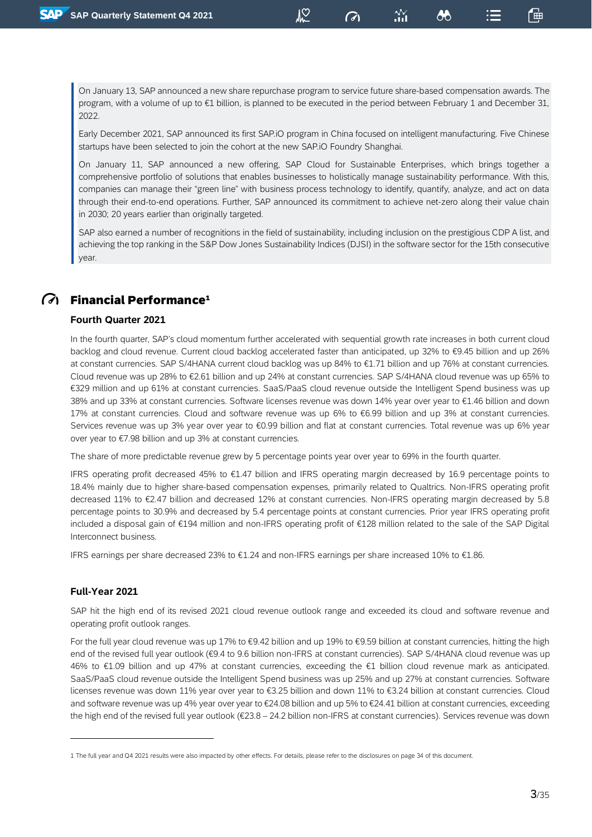On January 13, SAP announced a new share repurchase program to service future share-based compensation awards. The program, with a volume of up to €1 billion, is planned to be executed in the period between February 1 and December 31, 2022.

၂၃

 $\mathcal O$ 

෯

Early December 2021, SAP announced its first SAP.iO program in China focused on intelligent manufacturing. Five Chinese startups have been selected to join the cohort at the new SAP.iO Foundry Shanghai.

On January 11, SAP announced a new offering, SAP Cloud for Sustainable Enterprises, which brings together a comprehensive portfolio of solutions that enables businesses to holistically manage sustainability performance. With this, companies can manage their "green line" with business process technology to identify, quantify, analyze, and act on data through their end-to-end operations. Further, SAP announced its commitment to achieve net-zero along their value chain in 2030; 20 years earlier than originally targeted.

SAP also earned a number of recognitions in the field of sustainability, including inclusion on the prestigious CDP A list, and achieving the top ranking in the S&P Dow Jones Sustainability Indices (DJSI) in the software sector for the 15th consecutive year.

### $\widehat{G}$  Financial Performance<sup>1</sup>

#### **Fourth Quarter 2021**

In the fourth quarter, SAP's cloud momentum further accelerated with sequential growth rate increases in both current cloud backlog and cloud revenue. Current cloud backlog accelerated faster than anticipated, up 32% to €9.45 billion and up 26% at constant currencies. SAP S/4HANA current cloud backlog was up 84% to €1.71 billion and up 76% at constant currencies. Cloud revenue was up 28% to €2.61 billion and up 24% at constant currencies. SAP S/4HANA cloud revenue was up 65% to €329 million and up 61% at constant currencies. SaaS/PaaS cloud revenue outside the Intelligent Spend business was up 38% and up 33% at constant currencies. Software licenses revenue was down 14% year over year to €1.46 billion and down 17% at constant currencies. Cloud and software revenue was up 6% to €6.99 billion and up 3% at constant currencies. Services revenue was up 3% year over year to €0.99 billion and flat at constant currencies. Total revenue was up 6% year over year to €7.98 billion and up 3% at constant currencies.

The share of more predictable revenue grew by 5 percentage points year over year to 69% in the fourth quarter.

IFRS operating profit decreased 45% to €1.47 billion and IFRS operating margin decreased by 16.9 percentage points to 18.4% mainly due to higher share-based compensation expenses, primarily related to Qualtrics. Non-IFRS operating profit decreased 11% to €2.47 billion and decreased 12% at constant currencies. Non-IFRS operating margin decreased by 5.8 percentage points to 30.9% and decreased by 5.4 percentage points at constant currencies. Prior year IFRS operating profit included a disposal gain of €194 million and non-IFRS operating profit of €128 million related to the sale of the SAP Digital Interconnect business.

IFRS earnings per share decreased 23% to €1.24 and non-IFRS earnings per share increased 10% to €1.86.

#### **Full-Year 2021**

SAP hit the high end of its revised 2021 cloud revenue outlook range and exceeded its cloud and software revenue and operating profit outlook ranges.

For the full year cloud revenue was up 17% to €9.42 billion and up 19% to €9.59 billion at constant currencies, hitting the high end of the revised full year outlook (€9.4 to 9.6 billion non-IFRS at constant currencies). SAP S/4HANA cloud revenue was up 46% to €1.09 billion and up 47% at constant currencies, exceeding the €1 billion cloud revenue mark as anticipated. SaaS/PaaS cloud revenue outside the Intelligent Spend business was up 25% and up 27% at constant currencies. Software licenses revenue was down 11% year over year to €3.25 billion and down 11% to €3.24 billion at constant currencies. Cloud and software revenue was up 4% year over year to €24.08 billion and up 5% to €24.41 billion at constant currencies, exceeding the high end of the revised full year outlook (€23.8 – 24.2 billion non-IFRS at constant currencies). Services revenue was down

<sup>1</sup> The full year and Q4 2021 results were also impacted by other effects. For details, please refer to the disclosures on page 34 of this document.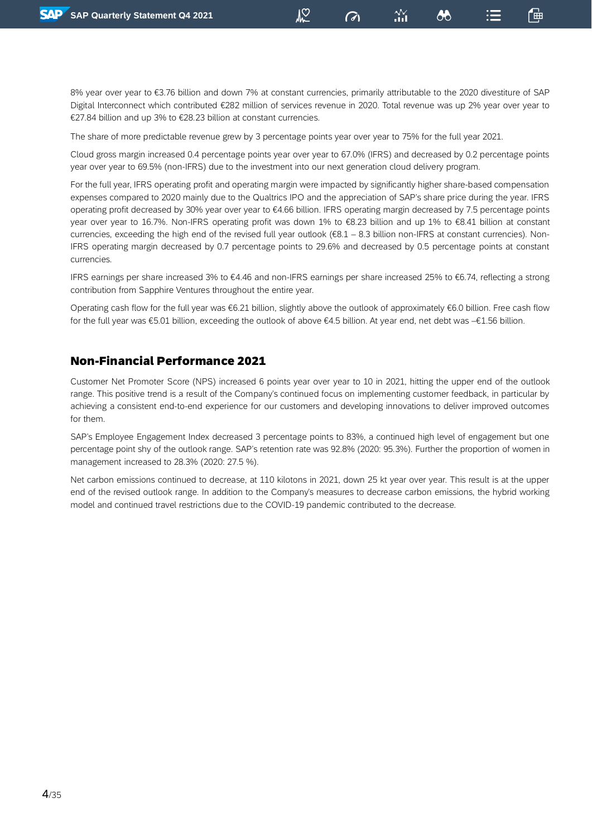8% year over year to €3.76 billion and down 7% at constant currencies, primarily attributable to the 2020 divestiture of SAP Digital Interconnect which contributed €282 million of services revenue in 2020. Total revenue was up 2% year over year to €27.84 billion and up 3% to €28.23 billion at constant currencies.

႔ွတ္

 $\mathcal O$ 

「曲

෯

The share of more predictable revenue grew by 3 percentage points year over year to 75% for the full year 2021.

Cloud gross margin increased 0.4 percentage points year over year to 67.0% (IFRS) and decreased by 0.2 percentage points year over year to 69.5% (non-IFRS) due to the investment into our next generation cloud delivery program.

For the full year, IFRS operating profit and operating margin were impacted by significantly higher share-based compensation expenses compared to 2020 mainly due to the Qualtrics IPO and the appreciation of SAP's share price during the year. IFRS operating profit decreased by 30% year over year to €4.66 billion. IFRS operating margin decreased by 7.5 percentage points year over year to 16.7%. Non-IFRS operating profit was down 1% to €8.23 billion and up 1% to €8.41 billion at constant currencies, exceeding the high end of the revised full year outlook (€8.1 – 8.3 billion non-IFRS at constant currencies). Non-IFRS operating margin decreased by 0.7 percentage points to 29.6% and decreased by 0.5 percentage points at constant currencies.

IFRS earnings per share increased 3% to €4.46 and non-IFRS earnings per share increased 25% to €6.74, reflecting a strong contribution from Sapphire Ventures throughout the entire year.

Operating cash flow for the full year was €6.21 billion, slightly above the outlook of approximately €6.0 billion. Free cash flow for the full year was €5.01 billion, exceeding the outlook of above €4.5 billion. At year end, net debt was –€1.56 billion.

#### Non-Financial Performance 2021

Customer Net Promoter Score (NPS) increased 6 points year over year to 10 in 2021, hitting the upper end of the outlook range. This positive trend is a result of the Company's continued focus on implementing customer feedback, in particular by achieving a consistent end-to-end experience for our customers and developing innovations to deliver improved outcomes for them.

SAP's Employee Engagement Index decreased 3 percentage points to 83%, a continued high level of engagement but one percentage point shy of the outlook range. SAP's retention rate was 92.8% (2020: 95.3%). Further the proportion of women in management increased to 28.3% (2020: 27.5 %).

Net carbon emissions continued to decrease, at 110 kilotons in 2021, down 25 kt year over year. This result is at the upper end of the revised outlook range. In addition to the Company's measures to decrease carbon emissions, the hybrid working model and continued travel restrictions due to the COVID-19 pandemic contributed to the decrease.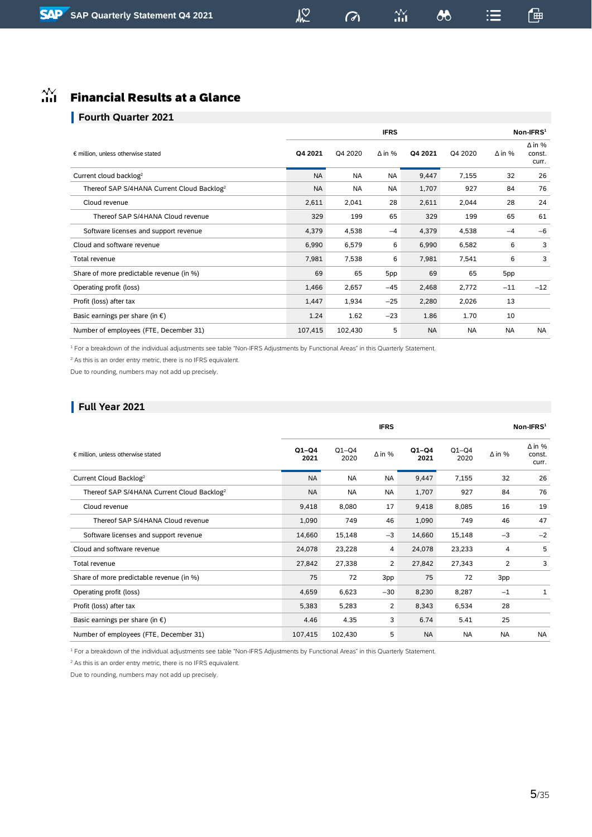## $M<sup>2</sup>$

 $\sigma$ 

 $\boldsymbol{\omega}$ 

一

 $\mathrel{\mathop:}=$ 

## $\hat{m}$  Financial Results at a Glance

#### **Fourth Quarter 2021**

|                                                        |           | $Non-IFRS1$ |               |           |           |               |                                  |
|--------------------------------------------------------|-----------|-------------|---------------|-----------|-----------|---------------|----------------------------------|
| € million, unless otherwise stated                     | Q4 2021   | Q4 2020     | $\Delta$ in % | Q4 2021   | Q4 2020   | $\Delta$ in % | $\Delta$ in %<br>const.<br>curr. |
| Current cloud backlog <sup>2</sup>                     | <b>NA</b> | <b>NA</b>   | <b>NA</b>     | 9,447     | 7,155     | 32            | 26                               |
| Thereof SAP S/4HANA Current Cloud Backlog <sup>2</sup> | <b>NA</b> | <b>NA</b>   | <b>NA</b>     | 1,707     | 927       | 84            | 76                               |
| Cloud revenue                                          | 2,611     | 2,041       | 28            | 2,611     | 2,044     | 28            | 24                               |
| Thereof SAP S/4HANA Cloud revenue                      | 329       | 199         | 65            | 329       | 199       | 65            | 61                               |
| Software licenses and support revenue                  | 4,379     | 4,538       | $-4$          | 4,379     | 4,538     | $-4$          | $-6$                             |
| Cloud and software revenue                             | 6,990     | 6,579       | 6             | 6,990     | 6,582     | 6             | 3                                |
| Total revenue                                          | 7,981     | 7,538       | 6             | 7,981     | 7,541     | 6             | 3                                |
| Share of more predictable revenue (in %)               | 69        | 65          | 5pp           | 69        | 65        | 5pp           |                                  |
| Operating profit (loss)                                | 1,466     | 2,657       | $-45$         | 2,468     | 2,772     | $-11$         | $-12$                            |
| Profit (loss) after tax                                | 1,447     | 1,934       | $-25$         | 2,280     | 2,026     | 13            |                                  |
| Basic earnings per share (in $\epsilon$ )              | 1.24      | 1.62        | $-23$         | 1.86      | 1.70      | 10            |                                  |
| Number of employees (FTE, December 31)                 | 107,415   | 102,430     | 5             | <b>NA</b> | <b>NA</b> | <b>NA</b>     | <b>NA</b>                        |

<sup>1</sup> For a breakdown of the individual adjustments see table "Non-IFRS Adjustments by Functional Areas" in this Quarterly Statement.

<sup>2</sup> As this is an order entry metric, there is no IFRS equivalent.

Due to rounding, numbers may not add up precisely.

#### **Full Year 2021**

|                                                        |                 |                 | <b>IFRS</b>   |                 |                 | $Non-IFRS1$   |                                  |  |
|--------------------------------------------------------|-----------------|-----------------|---------------|-----------------|-----------------|---------------|----------------------------------|--|
| € million, unless otherwise stated                     | $Q1-Q4$<br>2021 | $Q1-Q4$<br>2020 | $\Delta$ in % | $Q1-Q4$<br>2021 | $Q1-Q4$<br>2020 | $\Delta$ in % | $\Delta$ in %<br>const.<br>curr. |  |
| Current Cloud Backlog <sup>2</sup>                     | <b>NA</b>       | <b>NA</b>       | <b>NA</b>     | 9,447           | 7,155           | 32            | 26                               |  |
| Thereof SAP S/4HANA Current Cloud Backlog <sup>2</sup> | <b>NA</b>       | <b>NA</b>       | <b>NA</b>     | 1,707           | 927             | 84            | 76                               |  |
| Cloud revenue                                          | 9,418           | 8,080           | 17            | 9,418           | 8,085           | 16            | 19                               |  |
| Thereof SAP S/4HANA Cloud revenue                      | 1,090           | 749             | 46            | 1,090           | 749             | 46            | 47                               |  |
| Software licenses and support revenue                  | 14,660          | 15,148          | $-3$          | 14,660          | 15,148          | $-3$          | $-2$                             |  |
| Cloud and software revenue                             | 24,078          | 23,228          | 4             | 24,078          | 23,233          | 4             | 5                                |  |
| Total revenue                                          | 27,842          | 27,338          | 2             | 27,842          | 27,343          | 2             | 3                                |  |
| Share of more predictable revenue (in %)               | 75              | 72              | 3pp           | 75              | 72              | 3pp           |                                  |  |
| Operating profit (loss)                                | 4,659           | 6,623           | $-30$         | 8,230           | 8,287           | $-1$          | 1                                |  |
| Profit (loss) after tax                                | 5,383           | 5,283           | 2             | 8,343           | 6,534           | 28            |                                  |  |
| Basic earnings per share (in $\epsilon$ )              | 4.46            | 4.35            | 3             | 6.74            | 5.41            | 25            |                                  |  |
| Number of employees (FTE, December 31)                 | 107,415         | 102,430         | 5             | <b>NA</b>       | <b>NA</b>       | <b>NA</b>     | <b>NA</b>                        |  |

<sup>1</sup> For a breakdown of the individual adjustments see table "Non-IFRS Adjustments by Functional Areas" in this Quarterly Statement.

 $2$  As this is an order entry metric, there is no IFRS equivalent.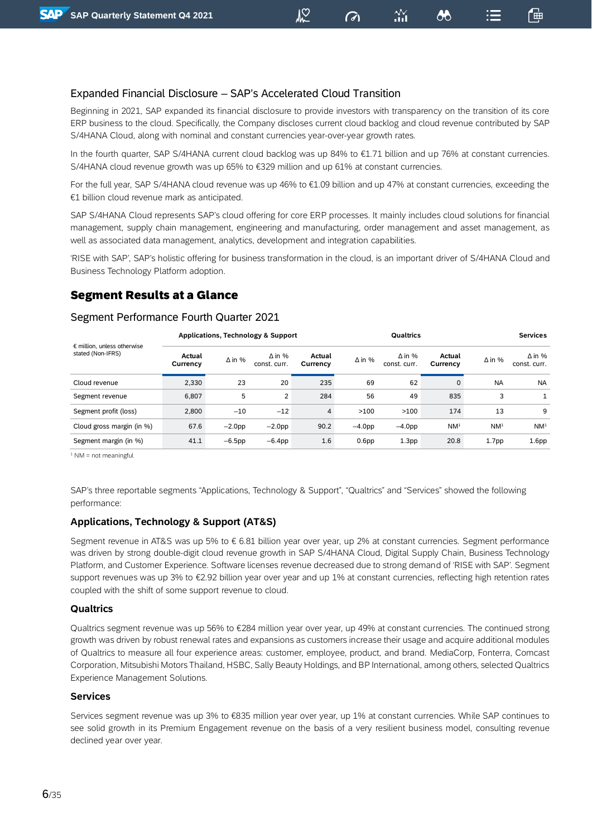#### Expanded Financial Disclosure – SAP's Accelerated Cloud Transition

Beginning in 2021, SAP expanded its financial disclosure to provide investors with transparency on the transition of its core ERP business to the cloud. Specifically, the Company discloses current cloud backlog and cloud revenue contributed by SAP S/4HANA Cloud, along with nominal and constant currencies year-over-year growth rates.

 $\mathbb{Z}$ 

 $\omega$ 

「曲

෯

In the fourth quarter, SAP S/4HANA current cloud backlog was up 84% to €1.71 billion and up 76% at constant currencies. S/4HANA cloud revenue growth was up 65% to €329 million and up 61% at constant currencies.

For the full year, SAP S/4HANA cloud revenue was up 46% to €1.09 billion and up 47% at constant currencies, exceeding the €1 billion cloud revenue mark as anticipated.

SAP S/4HANA Cloud represents SAP's cloud offering for core ERP processes. It mainly includes cloud solutions for financial management, supply chain management, engineering and manufacturing, order management and asset management, as well as associated data management, analytics, development and integration capabilities.

'RISE with SAP', SAP's holistic offering for business transformation in the cloud, is an important driver of S/4HANA Cloud and Business Technology Platform adoption.

#### Segment Results at a Glance

#### Segment Performance Fourth Quarter 2021

|                                                           | <b>Applications, Technology &amp; Support</b> |               |                               |                    |                   |                               | <b>Qualtrics</b>   |                   |                               |  |  |
|-----------------------------------------------------------|-----------------------------------------------|---------------|-------------------------------|--------------------|-------------------|-------------------------------|--------------------|-------------------|-------------------------------|--|--|
| $\epsilon$ million, unless otherwise<br>stated (Non-IFRS) | Actual<br>Currency                            | $\Delta$ in % | $\Delta$ in %<br>const. curr. | Actual<br>Currency | $\Delta$ in %     | $\Delta$ in %<br>const. curr. | Actual<br>Currency | $\Delta$ in %     | $\Delta$ in %<br>const. curr. |  |  |
| Cloud revenue                                             | 2,330                                         | 23            | 20                            | 235                | 69                | 62                            | 0                  | <b>NA</b>         | <b>NA</b>                     |  |  |
| Segment revenue                                           | 6,807                                         | 5             | 2                             | 284                | 56                | 49                            | 835                | 3                 | $\mathbf{1}$                  |  |  |
| Segment profit (loss)                                     | 2,800                                         | $-10$         | $-12$                         | $\overline{4}$     | >100              | >100                          | 174                | 13                | 9                             |  |  |
| Cloud gross margin (in %)                                 | 67.6                                          | $-2.0pp$      | $-2.0$ pp                     | 90.2               | $-4.0pp$          | $-4.0pp$                      | NM <sup>1</sup>    | NM <sup>1</sup>   | NM <sup>1</sup>               |  |  |
| Segment margin (in %)                                     | 41.1                                          | $-6.5$ pp     | $-6.4pp$                      | 1.6                | 0.6 <sub>pp</sub> | 1.3 <sub>pp</sub>             | 20.8               | 1.7 <sub>pp</sub> | 1.6 <sub>pp</sub>             |  |  |

 $1$  NM = not meaningful

SAP's three reportable segments "Applications, Technology & Support", "Qualtrics" and "Services" showed the following performance:

#### **Applications, Technology & Support (AT&S)**

Segment revenue in AT&S was up 5% to € 6.81 billion year over year, up 2% at constant currencies. Segment performance was driven by strong double-digit cloud revenue growth in SAP S/4HANA Cloud, Digital Supply Chain, Business Technology Platform, and Customer Experience. Software licenses revenue decreased due to strong demand of 'RISE with SAP'. Segment support revenues was up 3% to €2.92 billion year over year and up 1% at constant currencies, reflecting high retention rates coupled with the shift of some support revenue to cloud.

#### **Qualtrics**

Qualtrics segment revenue was up 56% to €284 million year over year, up 49% at constant currencies. The continued strong growth was driven by robust renewal rates and expansions as customers increase their usage and acquire additional modules of Qualtrics to measure all four experience areas: customer, employee, product, and brand. MediaCorp, Fonterra, Comcast Corporation, Mitsubishi Motors Thailand, HSBC, Sally Beauty Holdings, and BP International, among others, selected Qualtrics Experience Management Solutions.

#### **Services**

Services segment revenue was up 3% to €835 million year over year, up 1% at constant currencies. While SAP continues to see solid growth in its Premium Engagement revenue on the basis of a very resilient business model, consulting revenue declined year over year.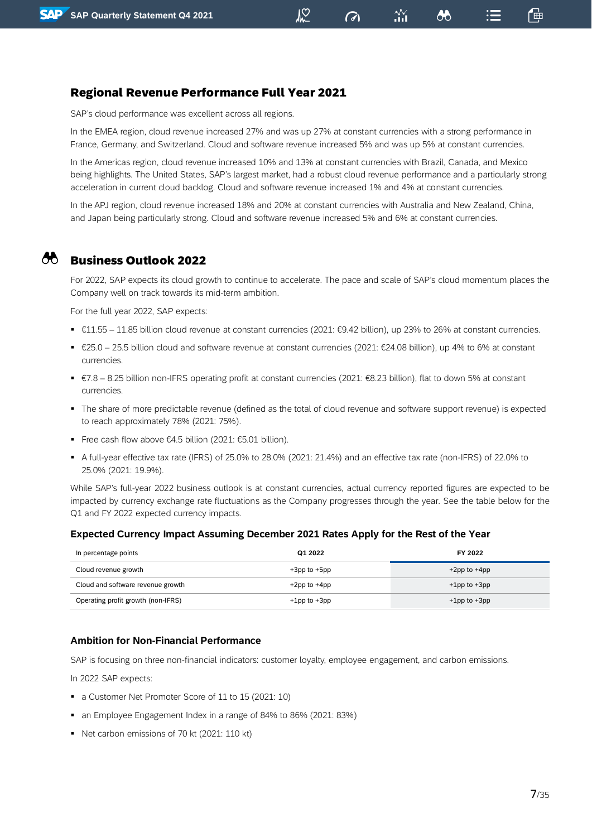### Regional Revenue Performance Full Year 2021

SAP's cloud performance was excellent across all regions.

In the EMEA region, cloud revenue increased 27% and was up 27% at constant currencies with a strong performance in France, Germany, and Switzerland. Cloud and software revenue increased 5% and was up 5% at constant currencies.

<u>NO</u>

 $\sigma$ 

෯

In the Americas region, cloud revenue increased 10% and 13% at constant currencies with Brazil, Canada, and Mexico being highlights. The United States, SAP's largest market, had a robust cloud revenue performance and a particularly strong acceleration in current cloud backlog. Cloud and software revenue increased 1% and 4% at constant currencies.

In the APJ region, cloud revenue increased 18% and 20% at constant currencies with Australia and New Zealand, China, and Japan being particularly strong. Cloud and software revenue increased 5% and 6% at constant currencies.

## Business Outlook 2022

For 2022, SAP expects its cloud growth to continue to accelerate. The pace and scale of SAP's cloud momentum places the Company well on track towards its mid-term ambition.

For the full year 2022, SAP expects:

- €11.55 11.85 billion cloud revenue at constant currencies (2021: €9.42 billion), up 23% to 26% at constant currencies.
- €25.0 25.5 billion cloud and software revenue at constant currencies (2021: €24.08 billion), up 4% to 6% at constant currencies.
- €7.8 8.25 billion non-IFRS operating profit at constant currencies (2021: €8.23 billion), flat to down 5% at constant currencies.
- The share of more predictable revenue (defined as the total of cloud revenue and software support revenue) is expected to reach approximately 78% (2021: 75%).
- Free cash flow above €4.5 billion (2021: €5.01 billion).
- A full-year effective tax rate (IFRS) of 25.0% to 28.0% (2021: 21.4%) and an effective tax rate (non-IFRS) of 22.0% to 25.0% (2021: 19.9%).

While SAP's full-year 2022 business outlook is at constant currencies, actual currency reported figures are expected to be impacted by currency exchange rate fluctuations as the Company progresses through the year. See the table below for the Q1 and FY 2022 expected currency impacts.

#### **Expected Currency Impact Assuming December 2021 Rates Apply for the Rest of the Year**

| In percentage points               | Q1 2022            | FY 2022            |
|------------------------------------|--------------------|--------------------|
| Cloud revenue growth               | $+3$ pp to $+5$ pp | $+2$ pp to $+4$ pp |
| Cloud and software revenue growth  | $+2$ pp to $+4$ pp | $+1$ pp to $+3$ pp |
| Operating profit growth (non-IFRS) | $+1$ pp to $+3$ pp | $+1$ pp to $+3$ pp |

#### **Ambition for Non-Financial Performance**

SAP is focusing on three non-financial indicators: customer loyalty, employee engagement, and carbon emissions.

In 2022 SAP expects:

- a Customer Net Promoter Score of 11 to 15 (2021: 10)
- an Employee Engagement Index in a range of 84% to 86% (2021: 83%)
- Net carbon emissions of 70 kt (2021: 110 kt)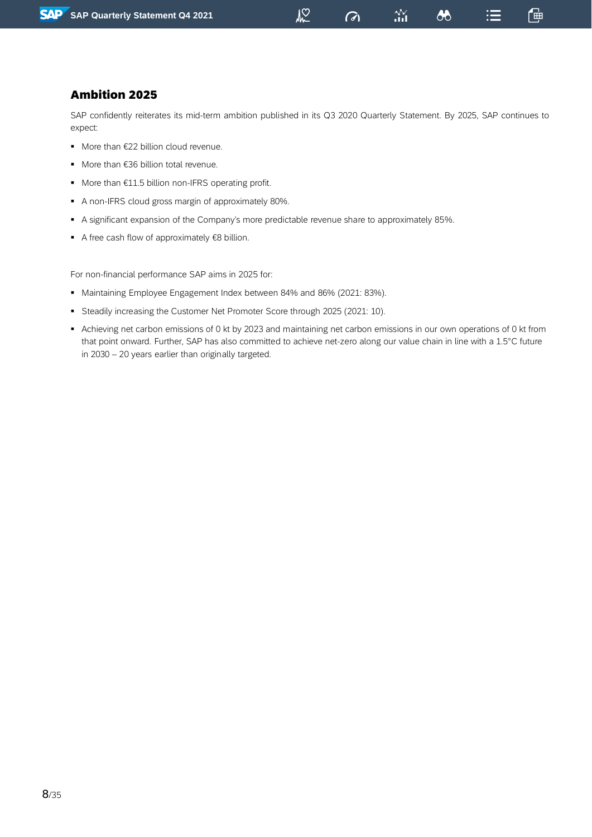### $\sqrt{2}$

 $\sigma$ 

88

「呻

## Ambition 2025

SAP confidently reiterates its mid-term ambition published in its Q3 2020 Quarterly Statement. By 2025, SAP continues to expect:

- More than €22 billion cloud revenue.
- More than €36 billion total revenue.
- More than €11.5 billion non-IFRS operating profit.
- A non-IFRS cloud gross margin of approximately 80%.
- A significant expansion of the Company's more predictable revenue share to approximately 85%.
- A free cash flow of approximately €8 billion.

For non-financial performance SAP aims in 2025 for:

- Maintaining Employee Engagement Index between 84% and 86% (2021: 83%).
- Steadily increasing the Customer Net Promoter Score through 2025 (2021: 10).
- Achieving net carbon emissions of 0 kt by 2023 and maintaining net carbon emissions in our own operations of 0 kt from that point onward. Further, SAP has also committed to achieve net-zero along our value chain in line with a 1.5°C future in 2030 – 20 years earlier than originally targeted.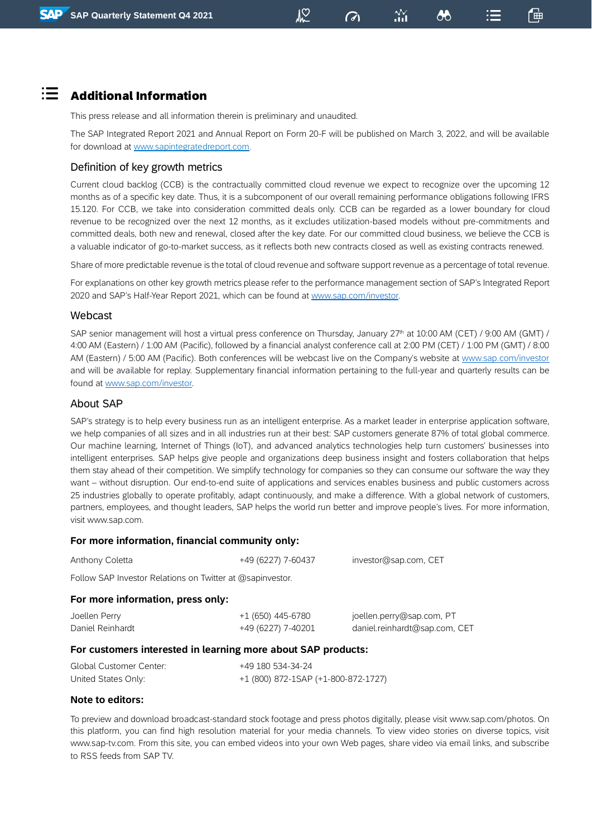## Additional Information

 $:=$ 

This press release and all information therein is preliminary and unaudited.

The SAP Integrated Report 2021 and Annual Report on Form 20-F will be published on March 3, 2022, and will be available for download at [www.sapintegratedreport.com.](http://www.sapintegratedreport.com/)

႔ွတ္

 $\omega$ 

「曲

෯

#### Definition of key growth metrics

Current cloud backlog (CCB) is the contractually committed cloud revenue we expect to recognize over the upcoming 12 months as of a specific key date. Thus, it is a subcomponent of our overall remaining performance obligations following IFRS 15.120. For CCB, we take into consideration committed deals only. CCB can be regarded as a lower boundary for cloud revenue to be recognized over the next 12 months, as it excludes utilization-based models without pre-commitments and committed deals, both new and renewal, closed after the key date. For our committed cloud business, we believe the CCB is a valuable indicator of go-to-market success, as it reflects both new contracts closed as well as existing contracts renewed.

Share of more predictable revenue is the total of cloud revenue and software support revenue as a percentage of total revenue.

For explanations on other key growth metrics please refer to the performance management section of SAP's Integrated Report 2020 and SAP's Half-Year Report 2021, which can be found at [www.sap.com/investor.](http://www.sap.com/investor)

#### Webcast

SAP senior management will host a virtual press conference on Thursday, January 27<sup>th</sup> at 10:00 AM (CET) / 9:00 AM (GMT) / 4:00 AM (Eastern) / 1:00 AM (Pacific), followed by a financial analyst conference call at 2:00 PM (CET) / 1:00 PM (GMT) / 8:00 AM (Eastern) / 5:00 AM (Pacific). Both conferences will be webcast live on the Company's website at [www.sap.com/investor](http://www.sap.com/investor) and will be available for replay. Supplementary financial information pertaining to the full-year and quarterly results can be found at [www.sap.com/investor.](http://www.sap.com/investor)

#### About SAP

SAP's strategy is to help every business run as an intelligent enterprise. As a market leader in enterprise application software, we help companies of all sizes and in all industries run at their best: SAP customers generate 87% of total global commerce. Our machine learning, Internet of Things (IoT), and advanced analytics technologies help turn customers' businesses into intelligent enterprises. SAP helps give people and organizations deep business insight and fosters collaboration that helps them stay ahead of their competition. We simplify technology for companies so they can consume our software the way they want – without disruption. Our end-to-end suite of applications and services enables business and public customers across 25 industries globally to operate profitably, adapt continuously, and make a difference. With a global network of customers, partners, employees, and thought leaders, SAP helps the world run better and improve people's lives. For more information, visit www.sap.com.

#### **For more information, financial community only:**

| Anthony Coletta | +49 (6227) 7-60437 | investor@sap.com, CET |
|-----------------|--------------------|-----------------------|
|                 |                    |                       |

Follow SAP Investor Relations on Twitter at @sapinvestor.

#### **For more information, press only:**

| Joellen Perry    | +1 (650) 445-6780  | joellen.perry@sap.com, PT     |
|------------------|--------------------|-------------------------------|
| Daniel Reinhardt | +49 (6227) 7-40201 | daniel.reinhardt@sap.com, CET |

#### **For customers interested in learning more about SAP products:**

| Global Customer Center: | +49 180 534-34-24                   |
|-------------------------|-------------------------------------|
| United States Only:     | +1 (800) 872-1SAP (+1-800-872-1727) |

#### **Note to editors:**

To preview and download broadcast-standard stock footage and press photos digitally, please visit www.sap.com/photos. On this platform, you can find high resolution material for your media channels. To view video stories on diverse topics, visit www.sap-tv.com. From this site, you can embed videos into your own Web pages, share video via email links, and subscribe to RSS feeds from SAP TV.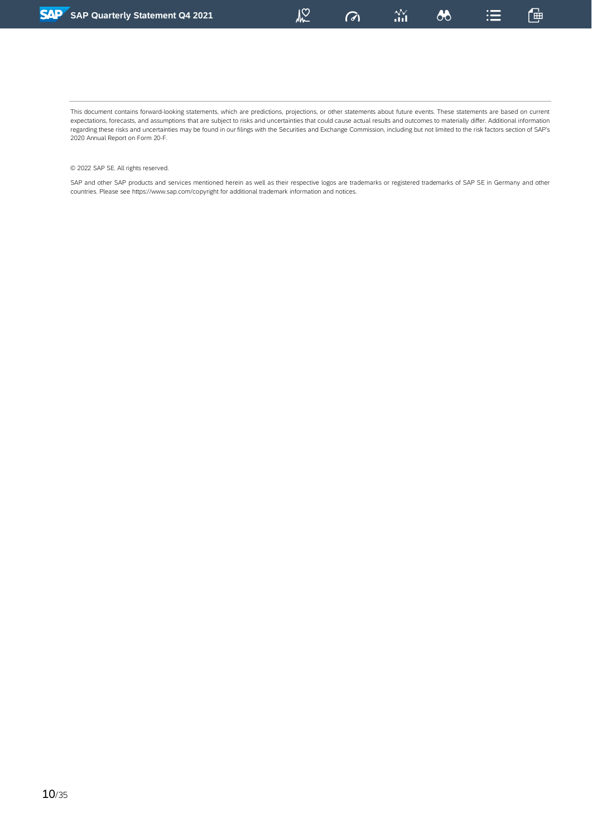$\sqrt{2}$ 

 $\sigma$ 

 $\boldsymbol{\omega}$ 

一

This document contains forward-looking statements, which are predictions, projections, or other statements about future events. These statements are based on current expectations, forecasts, and assumptions that are subject to risks and uncertainties that could cause actual results and outcomes to materially differ. Additional information regarding these risks and uncertainties may be found in our filings with the Securities and Exchange Commission, including but not limited to the risk factors section of SAP's 2020 Annual Report on Form 20-F.

#### © 2022 SAP SE. All rights reserved.

SAP and other SAP products and services mentioned herein as well as their respective logos are trademarks or registered trademarks of SAP SE in Germany and other countries. Please see https://www.sap.com/copyright for additional trademark information and notices.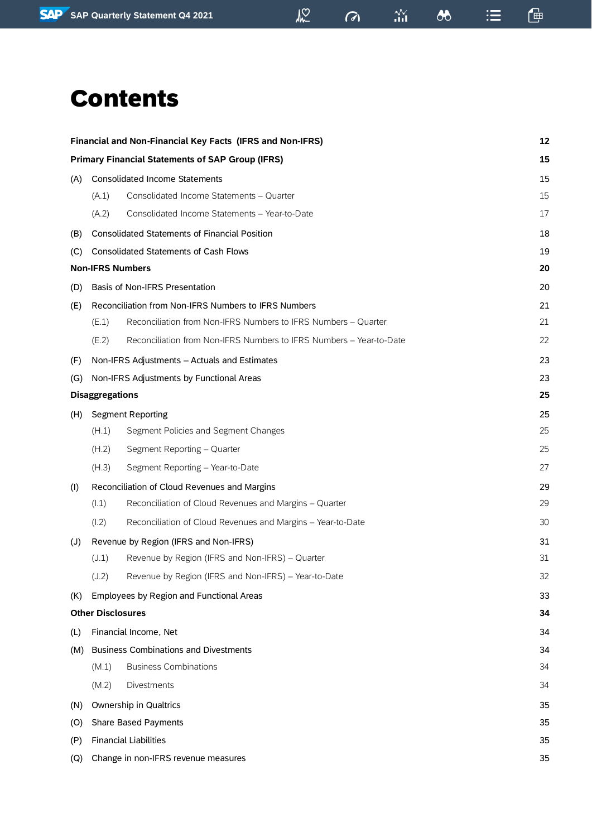# Contents

|                |                          | Financial and Non-Financial Key Facts (IFRS and Non-IFRS)           | 12 |
|----------------|--------------------------|---------------------------------------------------------------------|----|
|                |                          | <b>Primary Financial Statements of SAP Group (IFRS)</b>             | 15 |
| (A)            |                          | <b>Consolidated Income Statements</b>                               | 15 |
|                | (A.1)                    | Consolidated Income Statements - Quarter                            | 15 |
|                | (A.2)                    | Consolidated Income Statements - Year-to-Date                       | 17 |
| (B)            |                          | <b>Consolidated Statements of Financial Position</b>                | 18 |
| (C)            |                          | <b>Consolidated Statements of Cash Flows</b>                        | 19 |
|                | <b>Non-IFRS Numbers</b>  |                                                                     | 20 |
| (D)            |                          | Basis of Non-IFRS Presentation                                      | 20 |
| (E)            |                          | Reconciliation from Non-IFRS Numbers to IFRS Numbers                | 21 |
|                | (E.1)                    | Reconciliation from Non-IFRS Numbers to IFRS Numbers - Quarter      | 21 |
|                | (E.2)                    | Reconciliation from Non-IFRS Numbers to IFRS Numbers - Year-to-Date | 22 |
| (F)            |                          | Non-IFRS Adjustments - Actuals and Estimates                        | 23 |
| (G)            |                          | Non-IFRS Adjustments by Functional Areas                            | 23 |
|                | <b>Disaggregations</b>   |                                                                     | 25 |
| (H)            |                          | <b>Segment Reporting</b>                                            | 25 |
|                | (H.1)                    | Segment Policies and Segment Changes                                | 25 |
|                | (H.2)                    | Segment Reporting - Quarter                                         | 25 |
|                | (H.3)                    | Segment Reporting - Year-to-Date                                    | 27 |
| (1)            |                          | Reconciliation of Cloud Revenues and Margins                        | 29 |
|                | (l.1)                    | Reconciliation of Cloud Revenues and Margins - Quarter              | 29 |
|                | (1.2)                    | Reconciliation of Cloud Revenues and Margins - Year-to-Date         | 30 |
| $(\mathsf{U})$ |                          | Revenue by Region (IFRS and Non-IFRS)                               | 31 |
|                | (J.1)                    | Revenue by Region (IFRS and Non-IFRS) - Quarter                     | 31 |
|                | (J.2)                    | Revenue by Region (IFRS and Non-IFRS) - Year-to-Date                | 32 |
| (K)            |                          | Employees by Region and Functional Areas                            | 33 |
|                | <b>Other Disclosures</b> |                                                                     | 34 |
| (L)            |                          | Financial Income, Net                                               | 34 |
| (M)            |                          | <b>Business Combinations and Divestments</b>                        | 34 |
|                | (M.1)                    | <b>Business Combinations</b>                                        | 34 |
|                | (M.2)                    | Divestments                                                         | 34 |
| (N)            |                          | Ownership in Qualtrics                                              | 35 |
| (O)            |                          | Share Based Payments                                                | 35 |
| (P)            |                          | <b>Financial Liabilities</b>                                        | 35 |
| (Q)            |                          | Change in non-IFRS revenue measures                                 | 35 |

 $\omega$ 

 $\frac{\Delta V}{\Delta H}$ 

 $\bullet$ 

 $\mathbb{G}$ 

 $\mathrel{\mathop:}=$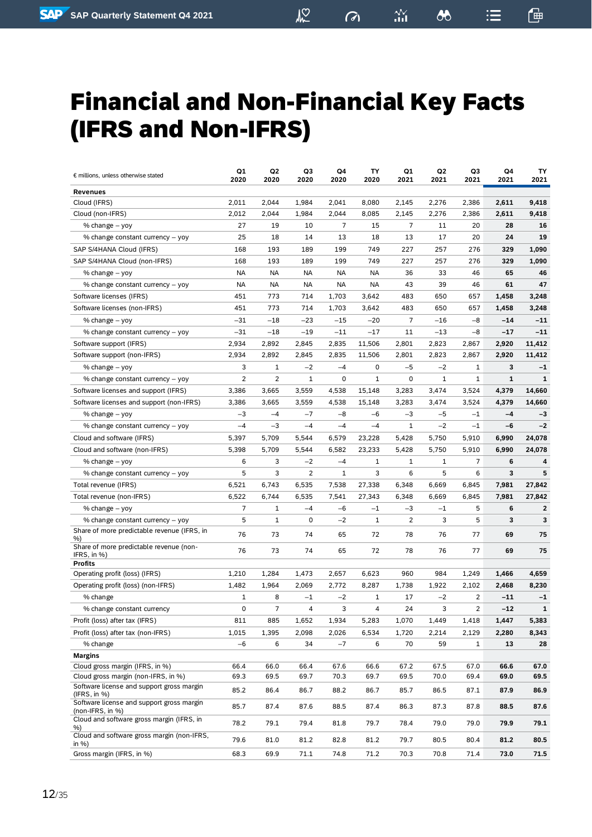$\sigma$ 

鱼

 $\equiv$ 

# <span id="page-11-0"></span>Financial and Non-Financial Key Facts (IFRS and Non-IFRS)

| € millions, unless otherwise stated                                  | Q1<br>2020     | Q2<br>2020     | Q3<br>2020     | Q4<br>2020 | TΥ<br>2020  | Q1<br>2021     | Q2<br>2021   | Q3<br>2021     | Q4<br>2021   | TΥ<br>2021     |
|----------------------------------------------------------------------|----------------|----------------|----------------|------------|-------------|----------------|--------------|----------------|--------------|----------------|
| <b>Revenues</b>                                                      |                |                |                |            |             |                |              |                |              |                |
| Cloud (IFRS)                                                         | 2,011          | 2,044          | 1,984          | 2,041      | 8,080       | 2,145          | 2,276        | 2,386          | 2,611        | 9,418          |
| Cloud (non-IFRS)                                                     | 2,012          | 2,044          | 1,984          | 2,044      | 8,085       | 2,145          | 2,276        | 2,386          | 2,611        | 9,418          |
| % change - yoy                                                       | 27             | 19             | 10             | 7          | 15          | 7              | 11           | 20             | 28           | 16             |
| % change constant currency - yoy                                     | 25             | 18             | 14             | 13         | 18          | 13             | 17           | 20             | 24           | 19             |
| SAP S/4HANA Cloud (IFRS)                                             | 168            | 193            | 189            | 199        | 749         | 227            | 257          | 276            | 329          | 1,090          |
| SAP S/4HANA Cloud (non-IFRS)                                         | 168            | 193            | 189            | 199        | 749         | 227            | 257          | 276            | 329          | 1,090          |
| % change – yoy                                                       | NA             | <b>NA</b>      | <b>NA</b>      | NA         | NA          | 36             | 33           | 46             | 65           | 46             |
| % change constant currency - yoy                                     | <b>NA</b>      | <b>NA</b>      | <b>NA</b>      | <b>NA</b>  | <b>NA</b>   | 43             | 39           | 46             | 61           | 47             |
| Software licenses (IFRS)                                             | 451            | 773            | 714            | 1.703      | 3,642       | 483            | 650          | 657            | 1,458        | 3,248          |
| Software licenses (non-IFRS)                                         | 451            | 773            | 714            | 1,703      | 3.642       | 483            | 650          | 657            | 1,458        | 3,248          |
| % change - yoy                                                       | $-31$          | $-18$          | $-23$          | $-15$      | $-20$       | 7              | $-16$        | $-8$           | $-14$        | $-11$          |
| % change constant currency - yoy                                     | $-31$          | $-18$          | $-19$          | $-11$      | $-17$       | 11             | $-13$        | $-8$           | $-17$        | $-11$          |
| Software support (IFRS)                                              | 2,934          | 2,892          | 2,845          | 2,835      | 11,506      | 2,801          | 2,823        | 2,867          | 2,920        | 11,412         |
| Software support (non-IFRS)                                          | 2,934          | 2,892          | 2,845          | 2,835      | 11,506      | 2,801          | 2,823        | 2,867          | 2,920        | 11,412         |
| % change – yoy                                                       | 3              | 1              | $-2$           | $-4$       | 0           | -5             | $-2$         | 1              | 3            | $-1$           |
| % change constant currency - yoy                                     | $\overline{2}$ | $\overline{2}$ | 1              | 0          | 1           | 0              | 1            | 1              | $\mathbf{1}$ | $\mathbf{1}$   |
| Software licenses and support (IFRS)                                 | 3,386          | 3,665          | 3,559          | 4,538      | 15,148      | 3,283          | 3,474        | 3,524          | 4,379        | 14,660         |
| Software licenses and support (non-IFRS)                             | 3,386          | 3,665          | 3,559          | 4,538      | 15,148      | 3,283          | 3,474        | 3,524          | 4,379        | 14,660         |
| % change - yoy                                                       | $-3$           | $-4$           | $-7$           | $-8$       | $-6$        | -3             | $-5$         | $-1$           | $-4$         | $-3$           |
| % change constant currency - yoy                                     | $-4$           | $-3$           | $-4$           | $-4$       | $-4$        | $\mathbf{1}$   | $-2$         | $-1$           | -6           | $-2$           |
| Cloud and software (IFRS)                                            | 5,397          | 5,709          | 5,544          | 6,579      | 23,228      | 5,428          | 5,750        | 5,910          | 6,990        | 24,078         |
| Cloud and software (non-IFRS)                                        | 5,398          | 5,709          | 5,544          | 6,582      | 23,233      | 5,428          | 5,750        | 5,910          | 6,990        | 24,078         |
| % change – yoy                                                       | 6              | 3              | $-2$           | $-4$       | 1           | 1              | 1            | $\overline{7}$ | 6            | 4              |
| % change constant currency - yoy                                     | 5              | 3              | 2              | 1          | 3           | 6              | 5            | 6              | 3            | 5              |
| Total revenue (IFRS)                                                 | 6,521          | 6,743          | 6,535          | 7,538      | 27,338      | 6,348          | 6,669        | 6,845          | 7,981        | 27,842         |
| Total revenue (non-IFRS)                                             | 6,522          | 6,744          | 6,535          | 7,541      | 27,343      | 6,348          | 6,669        | 6,845          | 7,981        | 27,842         |
| % change - yoy                                                       | $\overline{7}$ | 1              | -4             | $-6$       | $-1$        | -3             | $-1$         | 5              | 6            | $\overline{2}$ |
| % change constant currency - yoy                                     | 5              | 1              | 0              | $-2$       | $\mathbf 1$ | $\overline{2}$ | 3            | 5              | 3            | 3              |
| Share of more predictable revenue (IFRS, in<br>%)                    | 76             | 73             | 74             | 65         | 72          | 78             | 76           | 77             | 69           | 75             |
| Share of more predictable revenue (non-<br>IFRS, in $%$ )            | 76             | 73             | 74             | 65         | 72          | 78             | 76           | 77             | 69           | 75             |
| <b>Profits</b>                                                       |                |                |                |            |             |                |              |                |              |                |
| Operating profit (loss) (IFRS)<br>Operating profit (loss) (non-IFRS) | 1,210          | 1,284<br>1,964 | 1,473<br>2,069 | 2,657      | 6,623       | 960            | 984<br>1,922 | 1,249          | 1,466        | 4,659          |
|                                                                      | 1,482          |                |                | 2,772      | 8,287       | 1,738          |              | 2,102          | 2,468        | 8,230          |
| % change                                                             | $\mathbf{1}$   | 8              | $-1$           | $-2$       | 1           | 17             | $-2$         | 2              | $-11$        | $-1$           |
| % change constant currency                                           | 0              | 7              | 4              | 3          | 4           | 24             | 3            | $\overline{2}$ | $-12$        | 1              |
| Profit (loss) after tax (IFRS)                                       | 811            | 885            | 1,652          | 1,934      | 5,283       | 1,070          | 1,449        | 1,418          | 1,447        | 5,383          |
| Profit (loss) after tax (non-IFRS)                                   | 1,015          | 1,395          | 2,098          | 2,026      | 6,534       | 1,720          | 2,214        | 2,129          | 2,280        | 8,343          |
| % change                                                             | $-6$           | 6              | 34             | $-7$       | 6           | 70             | 59           | $\mathbf{1}$   | 13           | 28             |
| <b>Margins</b><br>Cloud gross margin (IFRS, in %)                    | 66.4           | 66.0           | 66.4           | 67.6       | 66.6        | 67.2           | 67.5         | 67.0           | 66.6         | 67.0           |
| Cloud gross margin (non-IFRS, in %)                                  | 69.3           | 69.5           | 69.7           | 70.3       | 69.7        | 69.5           | 70.0         | 69.4           | 69.0         | 69.5           |
| Software license and support gross margin<br>(IFRS, in %)            | 85.2           | 86.4           | 86.7           | 88.2       | 86.7        | 85.7           | 86.5         | 87.1           | 87.9         | 86.9           |
| Software license and support gross margin                            | 85.7           | 87.4           | 87.6           | 88.5       | 87.4        | 86.3           | 87.3         | 87.8           | 88.5         | 87.6           |
| (non-IFRS, in %)<br>Cloud and software gross margin (IFRS, in<br>%)  | 78.2           | 79.1           | 79.4           | 81.8       | 79.7        | 78.4           | 79.0         | 79.0           | 79.9         | 79.1           |
| Cloud and software gross margin (non-IFRS,<br>in $%$                 | 79.6           | 81.0           | 81.2           | 82.8       | 81.2        | 79.7           | 80.5         | 80.4           | 81.2         | 80.5           |
| Gross margin (IFRS, in %)                                            | 68.3           | 69.9           | 71.1           | 74.8       | 71.2        | 70.3           | 70.8         | 71.4           | 73.0         | 71.5           |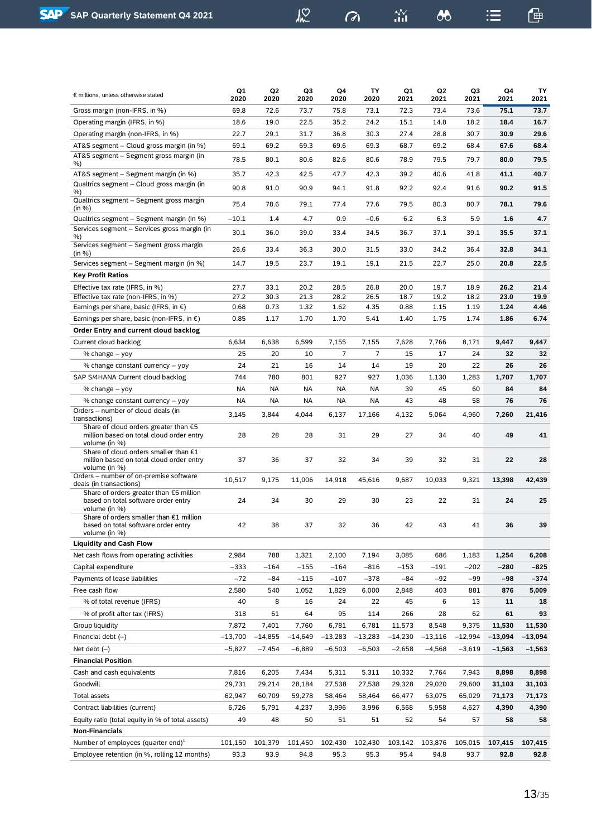$\frac{\Delta \mathbf{V}}{111}$ 

 $\delta$ 

 $\mathrel{\mathop:}=$ 

| ۰ |
|---|
|   |
|   |
|   |
|   |

| € millions, unless otherwise stated                                                                  | Q1<br>2020 | Q2<br>2020 | Q3<br>2020 | Q4<br>2020     | TY<br>2020     | Q1<br>2021 | Q2<br>2021 | Q3<br>2021 | Q4<br>2021 | TY<br>2021 |
|------------------------------------------------------------------------------------------------------|------------|------------|------------|----------------|----------------|------------|------------|------------|------------|------------|
| Gross margin (non-IFRS, in %)                                                                        | 69.8       | 72.6       | 73.7       | 75.8           | 73.1           | 72.3       | 73.4       | 73.6       | 75.1       | 73.7       |
| Operating margin (IFRS, in %)                                                                        | 18.6       | 19.0       | 22.5       | 35.2           | 24.2           | 15.1       | 14.8       | 18.2       | 18.4       | 16.7       |
| Operating margin (non-IFRS, in %)                                                                    | 22.7       | 29.1       | 31.7       | 36.8           | 30.3           | 27.4       | 28.8       | 30.7       | 30.9       | 29.6       |
| AT&S segment - Cloud gross margin (in %)                                                             | 69.1       | 69.2       | 69.3       | 69.6           | 69.3           | 68.7       | 69.2       | 68.4       | 67.6       | 68.4       |
| AT&S segment - Segment gross margin (in                                                              | 78.5       | 80.1       | 80.6       | 82.6           | 80.6           | 78.9       | 79.5       | 79.7       | 80.0       | 79.5       |
| %)<br>AT&S segment – Segment margin (in %)                                                           | 35.7       | 42.3       | 42.5       | 47.7           | 42.3           | 39.2       | 40.6       | 41.8       | 41.1       | 40.7       |
| Qualtrics segment - Cloud gross margin (in                                                           | 90.8       | 91.0       | 90.9       | 94.1           | 91.8           | 92.2       | 92.4       | 91.6       | 90.2       | 91.5       |
| %)<br>Qualtrics segment - Segment gross margin                                                       | 75.4       | 78.6       | 79.1       | 77.4           | 77.6           | 79.5       | 80.3       | 80.7       | 78.1       | 79.6       |
| (in %)<br>Qualtrics segment – Segment margin (in %)                                                  | $-10.1$    | 1.4        | 4.7        | 0.9            | $-0.6$         | 6.2        | 6.3        | 5.9        | 1.6        | 4.7        |
| Services segment - Services gross margin (in                                                         |            |            |            |                |                |            |            |            |            |            |
| %)<br>Services segment - Segment gross margin                                                        | 30.1       | 36.0       | 39.0       | 33.4           | 34.5           | 36.7       | 37.1       | 39.1       | 35.5       | 37.1       |
| (in %)                                                                                               | 26.6       | 33.4       | 36.3       | 30.0           | 31.5           | 33.0       | 34.2       | 36.4       | 32.8       | 34.1       |
| Services segment – Segment margin (in %)                                                             | 14.7       | 19.5       | 23.7       | 19.1           | 19.1           | 21.5       | 22.7       | 25.0       | 20.8       | 22.5       |
| <b>Key Profit Ratios</b>                                                                             |            |            |            |                |                |            |            |            |            |            |
| Effective tax rate (IFRS, in %)                                                                      | 27.7       | 33.1       | 20.2       | 28.5           | 26.8           | 20.0       | 19.7       | 18.9       | 26.2       | 21.4       |
| Effective tax rate (non-IFRS, in %)                                                                  | 27.2       | 30.3       | 21.3       | 28.2           | 26.5           | 18.7       | 19.2       | 18.2       | 23.0       | 19.9       |
| Earnings per share, basic (IFRS, in $\epsilon$ )                                                     | 0.68       | 0.73       | 1.32       | 1.62           | 4.35           | 0.88       | 1.15       | 1.19       | 1.24       | 4.46       |
| Earnings per share, basic (non-IFRS, in $\epsilon$ )                                                 | 0.85       | 1.17       | 1.70       | 1.70           | 5.41           | 1.40       | 1.75       | 1.74       | 1.86       | 6.74       |
| Order Entry and current cloud backlog                                                                |            |            |            |                |                |            |            |            |            |            |
| Current cloud backlog                                                                                | 6,634      | 6,638      | 6,599      | 7,155          | 7,155          | 7,628      | 7,766      | 8,171      | 9,447      | 9,447      |
| % change – yoy                                                                                       | 25         | 20         | 10         | $\overline{7}$ | $\overline{7}$ | 15         | 17         | 24         | 32         | 32         |
| % change constant currency - yoy                                                                     | 24         | 21         | 16         | 14             | 14             | 19         | 20         | 22         | 26         | 26         |
| SAP S/4HANA Current cloud backlog                                                                    | 744        | 780        | 801        | 927            | 927            | 1,036      | 1,130      | 1,283      | 1,707      | 1,707      |
| % change – yoy                                                                                       | NA         | <b>NA</b>  | NA         | ΝA             | NA             | 39         | 45         | 60         | 84         | 84         |
| % change constant currency - yoy                                                                     | NA         | NA         | NA         | ΝA             | NA             | 43         | 48         | 58         | 76         | 76         |
| Orders - number of cloud deals (in<br>transactions)                                                  | 3,145      | 3,844      | 4,044      | 6,137          | 17,166         | 4,132      | 5,064      | 4,960      | 7,260      | 21,416     |
| Share of cloud orders greater than $€5$<br>million based on total cloud order entry<br>volume (in %) | 28         | 28         | 28         | 31             | 29             | 27         | 34         | 40         | 49         | 41         |
| Share of cloud orders smaller than €1<br>million based on total cloud order entry<br>volume (in %)   | 37         | 36         | 37         | 32             | 34             | 39         | 32         | 31         | 22         | 28         |
| Orders - number of on-premise software                                                               | 10,517     | 9,175      | 11,006     | 14,918         | 45.616         | 9,687      | 10,033     | 9,321      | 13.398     | 42,439     |
| deals (in transactions)<br>Share of orders greater than €5 million                                   |            |            |            |                |                |            |            |            |            |            |
| based on total software order entry<br>volume (in %)                                                 | 24         | 34         | 30         | 29             | 30             | 23         | 22         | 31         | 24         | 25         |
| Share of orders smaller than €1 million<br>based on total software order entry<br>volume (in %)      | 42         | 38         | 37         | 32             | 36             | 42         | 43         | 41         | 36         | 39         |
| <b>Liquidity and Cash Flow</b>                                                                       |            |            |            |                |                |            |            |            |            |            |
| Net cash flows from operating activities                                                             | 2,984      | 788        | 1,321      | 2,100          | 7,194          | 3,085      | 686        | 1,183      | 1,254      | 6,208      |
| Capital expenditure                                                                                  | $-333$     | $-164$     | $-155$     | $-164$         | $-816$         | $-153$     | $-191$     | $-202$     | $-280$     | $-825$     |
| Payments of lease liabilities                                                                        | $-72$      | -84        | $-115$     | $-107$         | $-378$         | -84        | $-92$      | $-99$      | $-98$      | $-374$     |
| Free cash flow                                                                                       | 2,580      | 540        | 1,052      | 1,829          | 6,000          | 2,848      | 403        | 881        | 876        | 5,009      |
| % of total revenue (IFRS)                                                                            | 40         | 8          | 16         | 24             | 22             | 45         | 6          | 13         | 11         | 18         |
| % of profit after tax (IFRS)                                                                         | 318        | 61         | 64         | 95             | 114            | 266        | 28         | 62         | 61         | 93         |
| Group liquidity                                                                                      | 7,872      | 7,401      | 7,760      | 6,781          | 6,781          | 11,573     | 8,548      | 9,375      | 11,530     | 11,530     |
| Financial debt $(-)$                                                                                 | $-13,700$  | $-14,855$  | $-14,649$  | $-13,283$      | $-13,283$      | $-14,230$  | $-13,116$  | $-12,994$  | $-13,094$  | -13,094    |
| Net debt $(-)$                                                                                       | $-5,827$   | $-7,454$   | $-6,889$   | $-6,503$       | $-6,503$       | $-2,658$   | $-4,568$   | $-3,619$   | $-1,563$   | $-1,563$   |
| <b>Financial Position</b>                                                                            |            |            |            |                |                |            |            |            |            |            |
| Cash and cash equivalents                                                                            | 7,816      | 6,205      | 7,434      | 5,311          | 5,311          | 10,332     | 7,764      | 7,943      | 8,898      | 8,898      |
| Goodwill                                                                                             | 29,731     | 29,214     | 28,184     | 27,538         | 27,538         | 29,328     | 29,020     | 29,600     | 31,103     | 31,103     |
| Total assets                                                                                         | 62,947     | 60,709     | 59,278     | 58,464         | 58,464         | 66,477     | 63,075     | 65,029     | 71,173     | 71,173     |
| Contract liabilities (current)                                                                       | 6,726      | 5,791      | 4,237      | 3,996          | 3,996          | 6,568      | 5,958      | 4,627      | 4,390      | 4,390      |
| Equity ratio (total equity in % of total assets)                                                     | 49         | 48         | 50         | 51             | 51             | 52         | 54         | 57         | 58         | 58         |
| <b>Non-Financials</b>                                                                                |            |            |            |                |                |            |            |            |            |            |
| Number of employees (quarter end) <sup>1</sup>                                                       | 101,150    | 101,379    | 101,450    | 102,430        | 102,430        | 103,142    | 103,876    | 105,015    | 107,415    | 107,415    |
| Employee retention (in %, rolling 12 months)                                                         | 93.3       | 93.9       | 94.8       | 95.3           | 95.3           | 95.4       | 94.8       | 93.7       | 92.8       | 92.8       |
|                                                                                                      |            |            |            |                |                |            |            |            |            |            |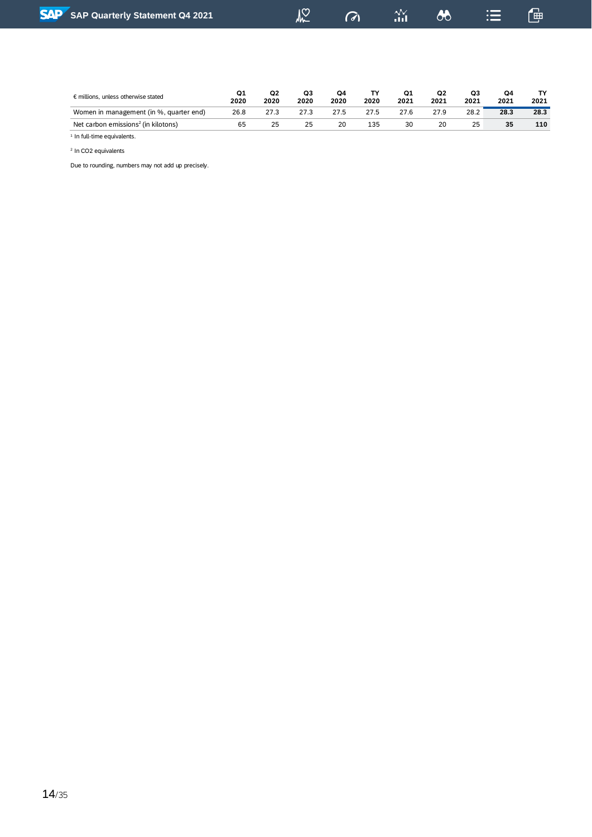| <b>SAP Quarterly Statement Q4 2021</b>       |            |            | $\frac{1}{2}$ | $\sigma$   |            | $\frac{3}{11}$ | 8          |            | $\mathrel{\mathop:}=$ | 僵          |
|----------------------------------------------|------------|------------|---------------|------------|------------|----------------|------------|------------|-----------------------|------------|
|                                              |            |            |               |            |            |                |            |            |                       |            |
|                                              |            |            |               |            |            |                |            |            |                       |            |
| $\epsilon$ millions, unless otherwise stated | Q1<br>2020 | Q2<br>2020 | Q3<br>2020    | Q4<br>2020 | TY<br>2020 | Q1<br>2021     | Q2<br>2021 | Q3<br>2021 | Q4<br>2021            | TY<br>2021 |
| Women in management (in %, quarter end)      | 26.8       | 27.3       | 27.3          | 27.5       | 27.5       | 27.6           | 27.9       | 28.2       | 28.3                  | 28.3       |

Net carbon emissions<sup>2</sup>(in kilotons) 65 25 25 20 135 30 20 25 **35 110**

<sup>1</sup> In full-time equivalents. 2 In CO2 equivalents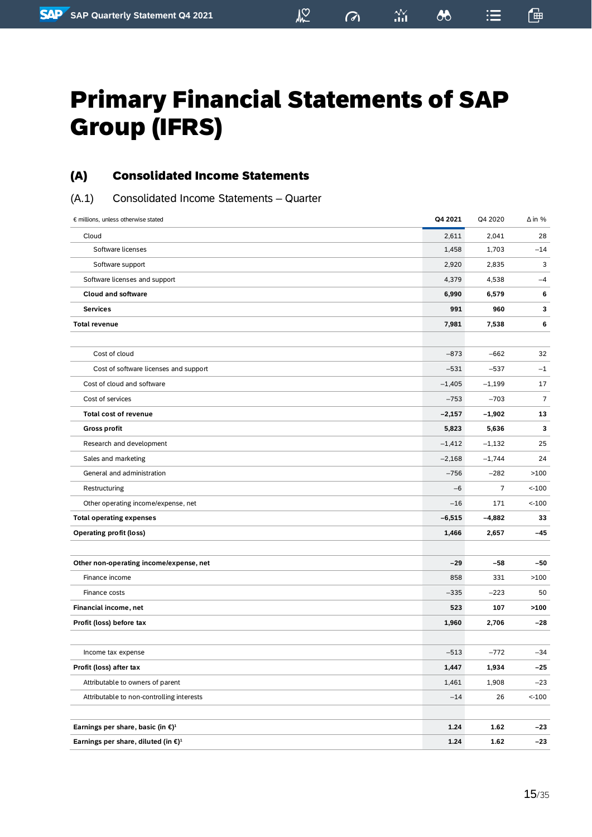$\boldsymbol{\delta\! \delta}$ 

這

 $\frac{2N}{10}$ 

画

# <span id="page-14-0"></span>Primary Financial Statements of SAP Group (IFRS)

 $\sqrt{2}$ 

### <span id="page-14-1"></span>(A) Consolidated Income Statements

<span id="page-14-2"></span>(A.1) Consolidated Income Statements – Quarter

| € millions, unless otherwise stated                       | Q4 2021  | Q4 2020        | $\Delta$ in %  |
|-----------------------------------------------------------|----------|----------------|----------------|
| Cloud                                                     | 2,611    | 2,041          | 28             |
| Software licenses                                         | 1,458    | 1,703          | $-14$          |
| Software support                                          | 2,920    | 2,835          | 3              |
| Software licenses and support                             | 4,379    | 4,538          | $-4$           |
| <b>Cloud and software</b>                                 | 6,990    | 6,579          | 6              |
| <b>Services</b>                                           | 991      | 960            | 3              |
| <b>Total revenue</b>                                      | 7,981    | 7,538          | 6              |
|                                                           |          |                |                |
| Cost of cloud                                             | $-873$   | $-662$         | 32             |
| Cost of software licenses and support                     | $-531$   | $-537$         | $-1$           |
| Cost of cloud and software                                | $-1,405$ | $-1,199$       | 17             |
| Cost of services                                          | $-753$   | $-703$         | $\overline{7}$ |
| <b>Total cost of revenue</b>                              | $-2,157$ | $-1,902$       | 13             |
| <b>Gross profit</b>                                       | 5,823    | 5,636          | 3              |
| Research and development                                  | $-1,412$ | $-1,132$       | 25             |
| Sales and marketing                                       | $-2,168$ | $-1,744$       | 24             |
| General and administration                                | $-756$   | $-282$         | >100           |
| Restructuring                                             | $-6$     | $\overline{7}$ | $< -100$       |
| Other operating income/expense, net                       | $-16$    | 171            | $< -100$       |
| <b>Total operating expenses</b>                           | $-6,515$ | $-4,882$       | 33             |
| <b>Operating profit (loss)</b>                            | 1,466    | 2,657          | $-45$          |
|                                                           |          |                |                |
| Other non-operating income/expense, net                   | $-29$    | $-58$          | $-50$          |
| Finance income                                            | 858      | 331            | >100           |
| Finance costs                                             | $-335$   | $-223$         | 50             |
| Financial income, net                                     | 523      | 107            | >100           |
| Profit (loss) before tax                                  | 1,960    | 2,706          | $-28$          |
|                                                           |          |                |                |
| Income tax expense                                        | $-513$   | $-772$         | $-34$          |
| Profit (loss) after tax                                   | 1,447    | 1,934          | $-25$          |
| Attributable to owners of parent                          | 1,461    | 1,908          | $-23$          |
| Attributable to non-controlling interests                 | $-14$    | 26             | $< -100$       |
|                                                           |          |                |                |
| Earnings per share, basic (in $\epsilon$ ) <sup>1</sup>   | 1.24     | 1.62           | $-23$          |
| Earnings per share, diluted (in $\epsilon$ ) <sup>1</sup> | 1.24     | 1.62           | $-23$          |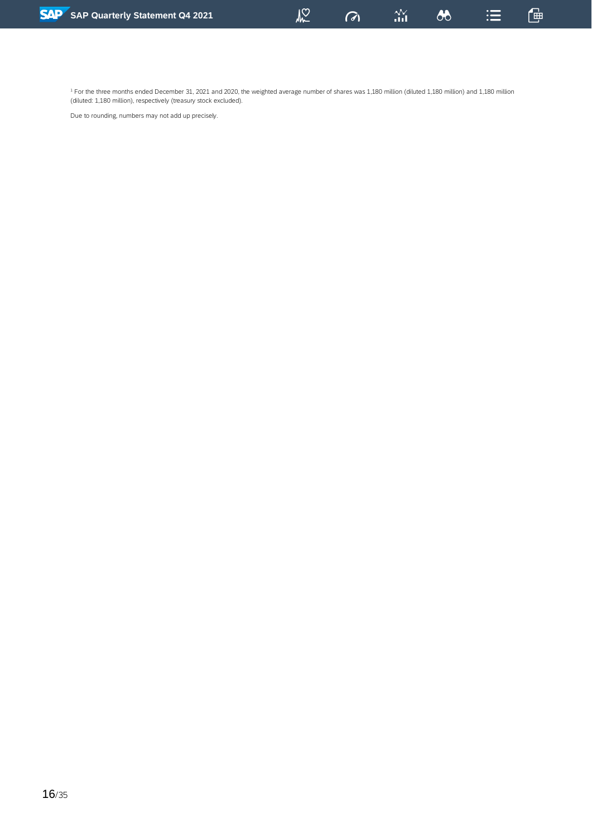<sup>1</sup> For the three months ended December 31, 2021 and 2020, the weighted average number of shares was 1,180 million (diluted 1,180 million) and 1,180 million (diluted: 1,180 million), respectively (treasury stock excluded).

 $M<sup>2</sup>$ 

 $\sigma$ 

 $\stackrel{\textstyle\mathcal{N}}{\textstyle_{\mathbf{nil}}}$ 

 $\lambda$ 

鱼

 $\equiv$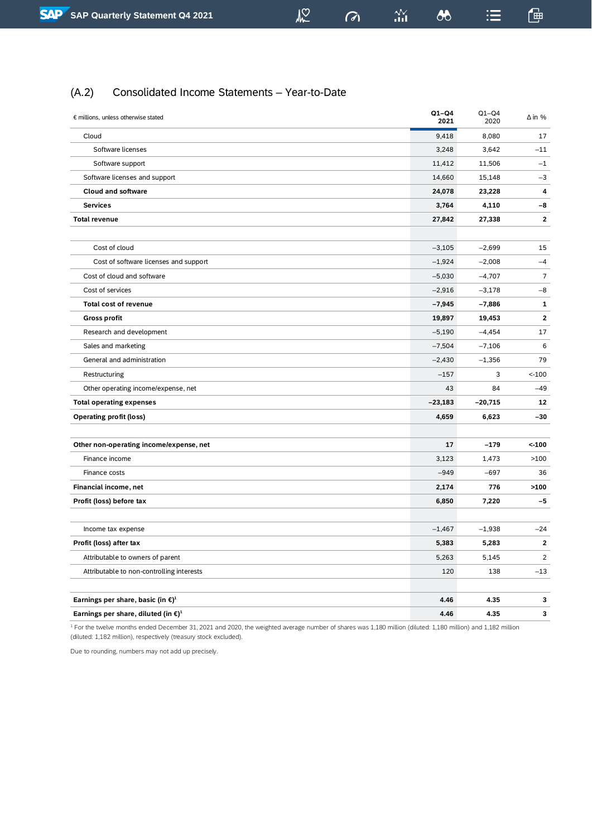$\sigma$ 

 $\stackrel{\textstyle\mathcal{N}}{\textstyle_{\mathbf{nil}}}$ 

鱼

 $\equiv$ 

#### <span id="page-16-0"></span>(A.2) Consolidated Income Statements – Year-to-Date

| € millions, unless otherwise stated                              | $Q1-Q4$<br>2021 | $Q1-Q4$<br>2020 | $\Delta$ in %           |
|------------------------------------------------------------------|-----------------|-----------------|-------------------------|
| Cloud                                                            | 9,418           | 8,080           | 17                      |
| Software licenses                                                | 3,248           | 3,642           | $-11$                   |
| Software support                                                 | 11,412          | 11,506          | $-1$                    |
| Software licenses and support                                    | 14,660          | 15,148          | $-3$                    |
| <b>Cloud and software</b>                                        | 24,078          | 23,228          | 4                       |
| <b>Services</b>                                                  | 3,764           | 4,110           | -8                      |
| <b>Total revenue</b>                                             | 27,842          | 27,338          | $\mathbf{z}$            |
|                                                                  |                 |                 |                         |
| Cost of cloud                                                    | $-3,105$        | $-2,699$        | 15                      |
| Cost of software licenses and support                            | $-1,924$        | $-2,008$        | $-4$                    |
| Cost of cloud and software                                       | $-5,030$        | $-4,707$        | $\overline{7}$          |
| Cost of services                                                 | $-2,916$        | $-3,178$        | $-8$                    |
| <b>Total cost of revenue</b>                                     | $-7,945$        | $-7,886$        | 1                       |
| <b>Gross profit</b>                                              | 19,897          | 19,453          | $\overline{\mathbf{2}}$ |
| Research and development                                         | $-5,190$        | $-4,454$        | 17                      |
| Sales and marketing                                              | $-7,504$        | $-7,106$        | 6                       |
| General and administration                                       | $-2,430$        | $-1,356$        | 79                      |
| Restructuring                                                    | $-157$          | 3               | $< -100$                |
| Other operating income/expense, net                              | 43              | 84              | $-49$                   |
| <b>Total operating expenses</b>                                  | $-23,183$       | $-20,715$       | 12                      |
| <b>Operating profit (loss)</b>                                   | 4,659           | 6,623           | $-30$                   |
|                                                                  |                 |                 |                         |
| Other non-operating income/expense, net                          | 17              | $-179$          | $< -100$                |
| Finance income                                                   | 3,123           | 1,473           | >100                    |
| Finance costs                                                    | $-949$          | $-697$          | 36                      |
| Financial income, net                                            | 2,174           | 776             | >100                    |
| Profit (loss) before tax                                         | 6,850           | 7,220           | $-5$                    |
|                                                                  |                 |                 |                         |
| Income tax expense                                               | $-1,467$        | $-1,938$        | $-24$                   |
| Profit (loss) after tax                                          | 5,383           | 5,283           | 2                       |
| Attributable to owners of parent                                 | 5,263           | 5,145           | $\overline{2}$          |
| Attributable to non-controlling interests                        | 120             | 138             | $-13$                   |
|                                                                  |                 |                 |                         |
| Earnings per share, basic (in $\mathbf{\epsilon}$ ) <sup>1</sup> | 4.46            | 4.35            | 3                       |
| Earnings per share, diluted (in $\epsilon$ ) <sup>1</sup>        | 4.46            | 4.35            | 3                       |

<sup>1</sup> For the twelve months ended December 31, 2021 and 2020, the weighted average number of shares was 1,180 million (diluted: 1,180 million) and 1,182 million (diluted: 1,182 million), respectively (treasury stock excluded).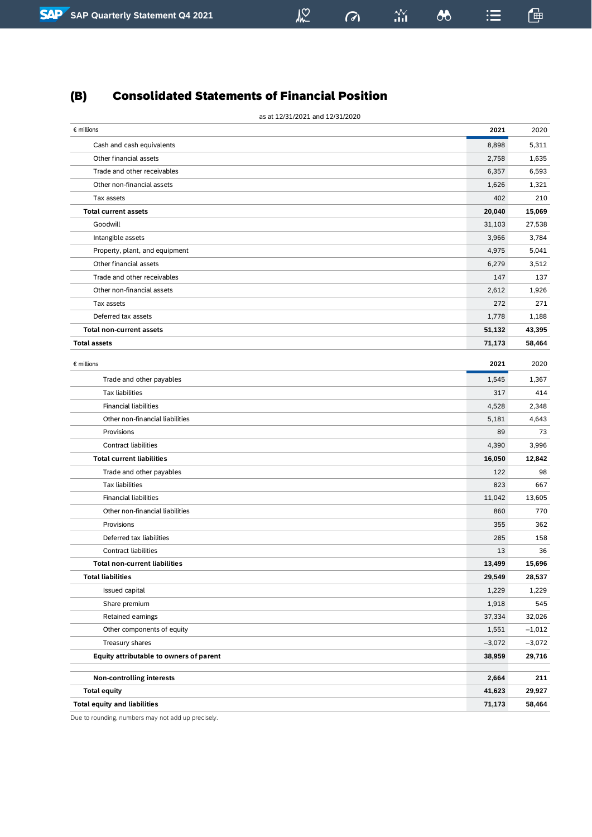## <span id="page-17-0"></span>(B) Consolidated Statements of Financial Position

| as at 12/31/2021 and 12/31/2020         |          |          |
|-----------------------------------------|----------|----------|
| $\epsilon$ millions                     | 2021     | 2020     |
| Cash and cash equivalents               | 8,898    | 5,311    |
| Other financial assets                  | 2,758    | 1,635    |
| Trade and other receivables             | 6,357    | 6,593    |
| Other non-financial assets              | 1,626    | 1,321    |
| Tax assets                              | 402      | 210      |
| <b>Total current assets</b>             | 20,040   | 15,069   |
| Goodwill                                | 31,103   | 27,538   |
| Intangible assets                       | 3,966    | 3,784    |
| Property, plant, and equipment          | 4,975    | 5,041    |
| Other financial assets                  | 6,279    | 3,512    |
| Trade and other receivables             | 147      | 137      |
| Other non-financial assets              | 2,612    | 1,926    |
| Tax assets                              | 272      | 271      |
| Deferred tax assets                     | 1,778    | 1,188    |
| <b>Total non-current assets</b>         | 51,132   | 43,395   |
| <b>Total assets</b>                     | 71,173   | 58,464   |
|                                         |          |          |
| $\epsilon$ millions                     | 2021     | 2020     |
| Trade and other payables                | 1,545    | 1,367    |
| <b>Tax liabilities</b>                  | 317      | 414      |
| <b>Financial liabilities</b>            | 4,528    | 2,348    |
| Other non-financial liabilities         | 5,181    | 4,643    |
| Provisions                              | 89       | 73       |
| Contract liabilities                    | 4,390    | 3,996    |
| <b>Total current liabilities</b>        | 16,050   | 12,842   |
| Trade and other payables                | 122      | 98       |
| <b>Tax liabilities</b>                  | 823      | 667      |
| <b>Financial liabilities</b>            | 11,042   | 13,605   |
| Other non-financial liabilities         | 860      | 770      |
| Provisions                              | 355      | 362      |
| Deferred tax liabilities                | 285      | 158      |
| <b>Contract liabilities</b>             | 13       | 36       |
| <b>Total non-current liabilities</b>    | 13,499   | 15,696   |
| <b>Total liabilities</b>                | 29,549   | 28,537   |
| Issued capital                          | 1,229    | 1,229    |
| Share premium                           | 1,918    | 545      |
| Retained earnings                       | 37,334   | 32,026   |
| Other components of equity              | 1,551    | $-1,012$ |
| Treasury shares                         | $-3,072$ | $-3,072$ |
| Equity attributable to owners of parent | 38,959   | 29,716   |
| <b>Non-controlling interests</b>        | 2,664    | 211      |
| <b>Total equity</b>                     | 41,623   | 29,927   |
| <b>Total equity and liabilities</b>     | 71,173   | 58,464   |

 $\sqrt{2}$ 

 $\sigma$ 

 $\frac{\Delta \mathbf{V}}{\Delta \mathbf{H}}$ 

 $\lambda$ 

鱼

 $\mathrel{\mathop:}=$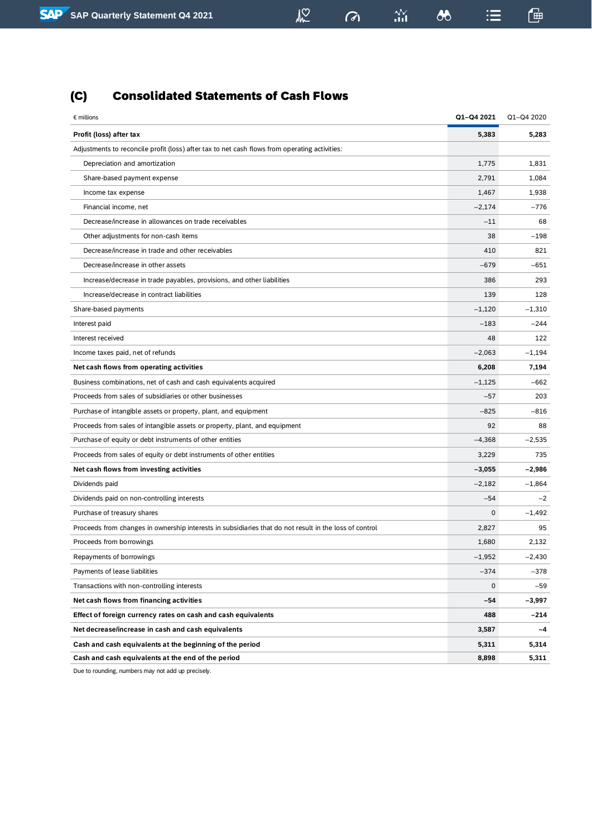## <span id="page-18-0"></span>(C) Consolidated Statements of Cash Flows

| $\epsilon$ millions                                                                                    | Q1-Q4 2021   | Q1-Q4 2020 |
|--------------------------------------------------------------------------------------------------------|--------------|------------|
| Profit (loss) after tax                                                                                | 5,383        | 5,283      |
| Adjustments to reconcile profit (loss) after tax to net cash flows from operating activities:          |              |            |
| Depreciation and amortization                                                                          | 1,775        | 1,831      |
| Share-based payment expense                                                                            | 2,791        | 1,084      |
| Income tax expense                                                                                     | 1,467        | 1,938      |
| Financial income, net                                                                                  | $-2,174$     | $-776$     |
| Decrease/increase in allowances on trade receivables                                                   | $-11$        | 68         |
| Other adjustments for non-cash items                                                                   | 38           | $-198$     |
| Decrease/increase in trade and other receivables                                                       | 410          | 821        |
| Decrease/increase in other assets                                                                      | $-679$       | $-651$     |
| Increase/decrease in trade payables, provisions, and other liabilities                                 | 386          | 293        |
| Increase/decrease in contract liabilities                                                              | 139          | 128        |
| Share-based payments                                                                                   | $-1,120$     | $-1,310$   |
| Interest paid                                                                                          | $-183$       | $-244$     |
| Interest received                                                                                      | 48           | 122        |
| Income taxes paid, net of refunds                                                                      | $-2,063$     | $-1,194$   |
| Net cash flows from operating activities                                                               | 6,208        | 7,194      |
| Business combinations, net of cash and cash equivalents acquired                                       | $-1,125$     | $-662$     |
| Proceeds from sales of subsidiaries or other businesses                                                | $-57$        | 203        |
| Purchase of intangible assets or property, plant, and equipment                                        | $-825$       | $-816$     |
| Proceeds from sales of intangible assets or property, plant, and equipment                             | 92           | 88         |
| Purchase of equity or debt instruments of other entities                                               | $-4,368$     | $-2,535$   |
| Proceeds from sales of equity or debt instruments of other entities                                    | 3,229        | 735        |
| Net cash flows from investing activities                                                               | $-3,055$     | $-2,986$   |
| Dividends paid                                                                                         | $-2,182$     | $-1,864$   |
| Dividends paid on non-controlling interests                                                            | $-54$        | $-2$       |
| Purchase of treasury shares                                                                            | $\mathbf 0$  | $-1,492$   |
| Proceeds from changes in ownership interests in subsidiaries that do not result in the loss of control | 2,827        | 95         |
| Proceeds from borrowings                                                                               | 1,680        | 2,132      |
| Repayments of borrowings                                                                               | $-1,952$     | $-2,430$   |
| Payments of lease liabilities                                                                          | $-374$       | $-378$     |
| Transactions with non-controlling interests                                                            | $\mathsf{O}$ | $-59$      |
| Net cash flows from financing activities                                                               | -54          | -3,997     |
| Effect of foreign currency rates on cash and cash equivalents                                          | 488          | $-214$     |
| Net decrease/increase in cash and cash equivalents                                                     | 3,587        | -4         |
| Cash and cash equivalents at the beginning of the period                                               | 5,311        | 5,314      |
| Cash and cash equivalents at the end of the period                                                     | 8,898        | 5,311      |

 $\frac{1}{2}$ 

 $\frac{2\mathcal{N}}{111}$ 

 $\omega$ 

 $\bullet$ 

鱼

 $\mathrel{\mathop:}=$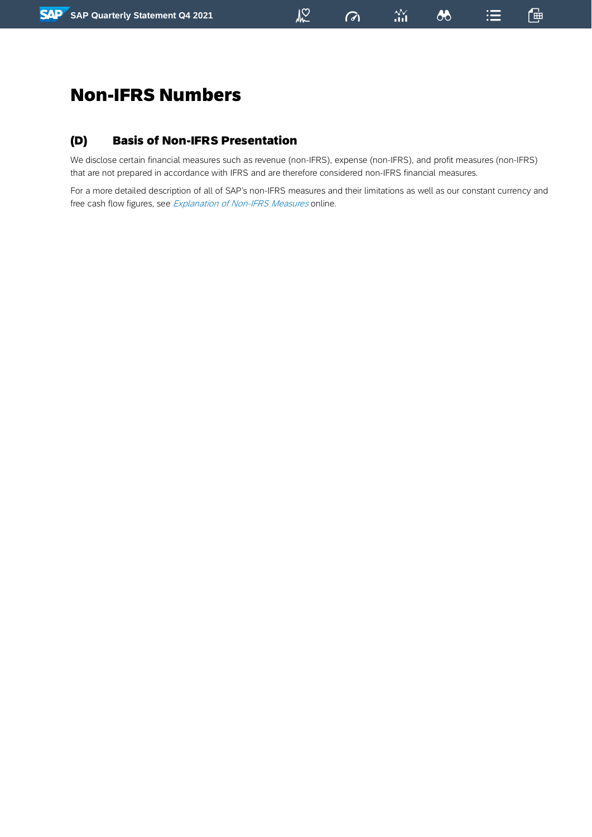## <span id="page-19-0"></span>Non-IFRS Numbers

## <span id="page-19-1"></span>(D) Basis of Non-IFRS Presentation

We disclose certain financial measures such as revenue (non-IFRS), expense (non-IFRS), and profit measures (non-IFRS) that are not prepared in accordance with IFRS and are therefore considered non-IFRS financial measures.

 $\sqrt{2}$ 

 $\frac{N}{n+1}$ 

 $\sigma$ 

 $\boldsymbol{\omega}$ 

通

 $\mathrel{\mathop:}=$ 

For a more detailed description of all of SAP's non-IFRS measures and their limitations as well as our constant currency and free cash flow figures, see [Explanation](http://www.sap.com/investors/sap-non-ifrs-measures) of Non-IFRS Measures online.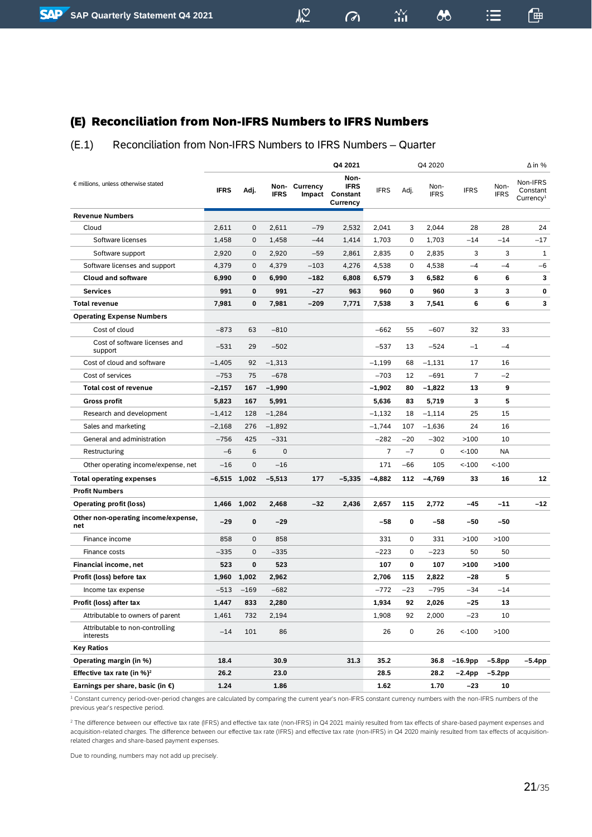## <span id="page-20-0"></span>(E) Reconciliation from Non-IFRS Numbers to IFRS Numbers

#### <span id="page-20-1"></span>(E.1) Reconciliation from Non-IFRS Numbers to IFRS Numbers – Quarter

 $M<sup>2</sup>$ 

 $\frac{N}{n+1}$ 

 $\boldsymbol{\omega}$ 

 $\mathrel{\mathop:}=$ 

一

 $\sigma$ 

|                                              |             |             |             |               | Q4 2021                                            |             |       | Q4 2020             |                |                     | $\Delta$ in %                                 |
|----------------------------------------------|-------------|-------------|-------------|---------------|----------------------------------------------------|-------------|-------|---------------------|----------------|---------------------|-----------------------------------------------|
| € millions, unless otherwise stated          | <b>IFRS</b> | Adj.        | <b>IFRS</b> | Non- Currency | Non-<br><b>IFRS</b><br>Impact Constant<br>Currency | <b>IFRS</b> | Adj.  | Non-<br><b>IFRS</b> | <b>IFRS</b>    | Non-<br><b>IFRS</b> | Non-IFRS<br>Constant<br>Currence <sup>1</sup> |
| <b>Revenue Numbers</b>                       |             |             |             |               |                                                    |             |       |                     |                |                     |                                               |
| Cloud                                        | 2,611       | $\mathbf 0$ | 2,611       | $-79$         | 2,532                                              | 2,041       | 3     | 2,044               | 28             | 28                  | 24                                            |
| Software licenses                            | 1,458       | $\mathbf 0$ | 1,458       | $-44$         | 1,414                                              | 1,703       | 0     | 1,703               | $-14$          | $-14$               | -17                                           |
| Software support                             | 2,920       | $\mathbf 0$ | 2,920       | $-59$         | 2,861                                              | 2,835       | 0     | 2,835               | 3              | 3                   | 1                                             |
| Software licenses and support                | 4,379       | $\mathbf 0$ | 4,379       | $-103$        | 4,276                                              | 4,538       | 0     | 4,538               | $-4$           | $-4$                | $-6$                                          |
| <b>Cloud and software</b>                    | 6,990       | 0           | 6,990       | $-182$        | 6,808                                              | 6,579       | 3     | 6,582               | 6              | 6                   | 3                                             |
| <b>Services</b>                              | 991         | 0           | 991         | -27           | 963                                                | 960         | 0     | 960                 | 3              | 3                   | 0                                             |
| <b>Total revenue</b>                         | 7,981       | 0           | 7,981       | $-209$        | 7,771                                              | 7,538       | 3     | 7,541               | 6              | 6                   | 3                                             |
| <b>Operating Expense Numbers</b>             |             |             |             |               |                                                    |             |       |                     |                |                     |                                               |
| Cost of cloud                                | $-873$      | 63          | $-810$      |               |                                                    | $-662$      | 55    | $-607$              | 32             | 33                  |                                               |
| Cost of software licenses and<br>support     | $-531$      | 29          | $-502$      |               |                                                    | $-537$      | 13    | $-524$              | $-1$           | $-4$                |                                               |
| Cost of cloud and software                   | $-1,405$    | 92          | $-1,313$    |               |                                                    | $-1,199$    | 68    | $-1,131$            | 17             | 16                  |                                               |
| Cost of services                             | $-753$      | 75          | $-678$      |               |                                                    | $-703$      | 12    | -691                | $\overline{7}$ | $-2$                |                                               |
| <b>Total cost of revenue</b>                 | $-2,157$    | 167         | $-1,990$    |               |                                                    | $-1,902$    | 80    | $-1,822$            | 13             | 9                   |                                               |
| <b>Gross profit</b>                          | 5,823       | 167         | 5,991       |               |                                                    | 5,636       | 83    | 5,719               | 3              | 5                   |                                               |
| Research and development                     | $-1,412$    | 128         | $-1,284$    |               |                                                    | $-1,132$    | 18    | $-1,114$            | 25             | 15                  |                                               |
| Sales and marketing                          | $-2,168$    | 276         | $-1,892$    |               |                                                    | $-1,744$    | 107   | $-1,636$            | 24             | 16                  |                                               |
| General and administration                   | $-756$      | 425         | $-331$      |               |                                                    | $-282$      | $-20$ | $-302$              | >100           | 10                  |                                               |
| Restructuring                                | $-6$        | 6           | $\mathbf 0$ |               |                                                    | 7           | $-7$  | 0                   | $< -100$       | <b>NA</b>           |                                               |
| Other operating income/expense, net          | $-16$       | $\mathbf 0$ | $-16$       |               |                                                    | 171         | $-66$ | 105                 | $< -100$       | $< -100$            |                                               |
| <b>Total operating expenses</b>              | $-6,515$    | 1,002       | $-5,513$    | 177           | $-5,335$                                           | $-4,882$    | 112   | $-4,769$            | 33             | 16                  | 12                                            |
| <b>Profit Numbers</b>                        |             |             |             |               |                                                    |             |       |                     |                |                     |                                               |
| <b>Operating profit (loss)</b>               |             | 1,466 1,002 | 2,468       | -32           | 2,436                                              | 2,657       | 115   | 2,772               | -45            | $-11$               | $-12$                                         |
| Other non-operating income/expense,<br>net   | $-29$       | 0           | $-29$       |               |                                                    | -58         | 0     | $-58$               | -50            | $-50$               |                                               |
| Finance income                               | 858         | $\mathbf 0$ | 858         |               |                                                    | 331         | 0     | 331                 | >100           | >100                |                                               |
| Finance costs                                | $-335$      | $\mathbf 0$ | $-335$      |               |                                                    | $-223$      | 0     | -223                | 50             | 50                  |                                               |
| <b>Financial income, net</b>                 | 523         | 0           | 523         |               |                                                    | 107         | 0     | 107                 | >100           | >100                |                                               |
| Profit (loss) before tax                     | 1,960       | 1,002       | 2,962       |               |                                                    | 2,706       | 115   | 2,822               | -28            | 5                   |                                               |
| Income tax expense                           | $-513$      | $-169$      | $-682$      |               |                                                    | -772        | $-23$ | -795                | -34            | $-14$               |                                               |
| Profit (loss) after tax                      | 1,447       | 833         | 2,280       |               |                                                    | 1,934       | 92    | 2,026               | $-25$          | 13                  |                                               |
| Attributable to owners of parent             | 1,461       | 732         | 2,194       |               |                                                    | 1,908       | 92    | 2,000               | $-23$          | 10                  |                                               |
| Attributable to non-controlling<br>interests | $-14$       | 101         | 86          |               |                                                    | 26          | 0     | 26                  | $< -100$       | >100                |                                               |
| <b>Key Ratios</b>                            |             |             |             |               |                                                    |             |       |                     |                |                     |                                               |
| Operating margin (in %)                      | 18.4        |             | 30.9        |               | 31.3                                               | 35.2        |       | 36.8                | $-16.9$ pp     | $-5.8pp$            | –5.4pp                                        |
| Effective tax rate (in $%$ ) <sup>2</sup>    | 26.2        |             | 23.0        |               |                                                    | 28.5        |       | 28.2                | $-2.4$ pp      | $-5.2$ pp           |                                               |
| Earnings per share, basic (in $\epsilon$ )   | 1.24        |             | 1.86        |               |                                                    | 1.62        |       | 1.70                | -23            | 10                  |                                               |

<sup>1</sup> Constant currency period-over-period changes are calculated by comparing the current year's non-IFRS constant currency numbers with the non-IFRS numbers of the previous year's respective period.

<sup>2</sup> The difference between our effective tax rate (IFRS) and effective tax rate (non-IFRS) in Q4 2021 mainly resulted from tax effects of share-based payment expenses and acquisition-related charges. The difference between our effective tax rate (IFRS) and effective tax rate (non-IFRS) in Q4 2020 mainly resulted from tax effects of acquisitionrelated charges and share-based payment expenses.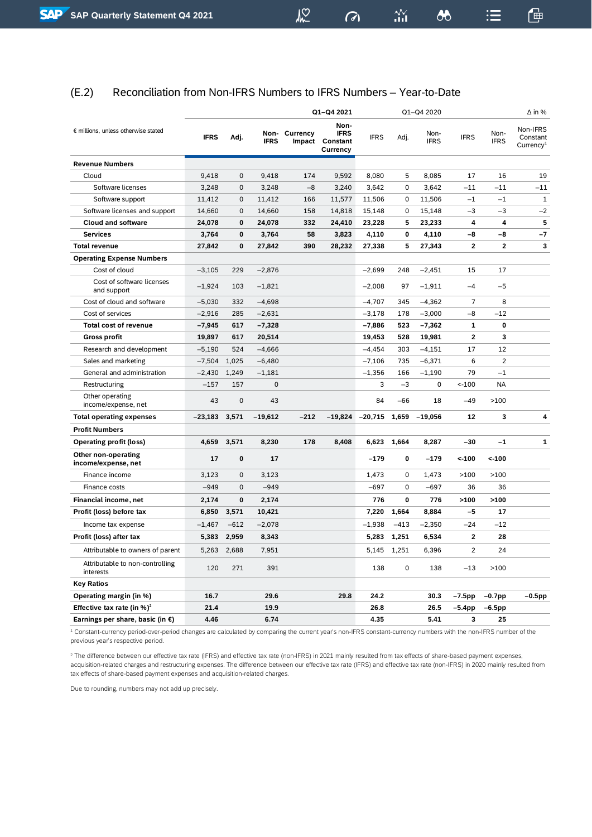$\sqrt{2}$ 

 $\frac{N}{n+1}$ 

 $\boldsymbol{\omega}$ 

 $\sigma$ 

一

 $\mathrel{\mathop:}=$ 

<span id="page-21-0"></span>

|                                                   |                 |              |             |               | Q1-Q4 2021                                         |             |             | Q1-Q4 2020          |                |                     | $\Delta$ in %                                 |
|---------------------------------------------------|-----------------|--------------|-------------|---------------|----------------------------------------------------|-------------|-------------|---------------------|----------------|---------------------|-----------------------------------------------|
| € millions, unless otherwise stated               | <b>IFRS</b>     | Adj.         | <b>IFRS</b> | Non- Currency | Non-<br><b>IFRS</b><br>Impact Constant<br>Currency | <b>IFRS</b> | Adj.        | Non-<br><b>IFRS</b> | <b>IFRS</b>    | Non-<br><b>IFRS</b> | Non-IFRS<br>Constant<br>Currence <sup>1</sup> |
| <b>Revenue Numbers</b>                            |                 |              |             |               |                                                    |             |             |                     |                |                     |                                               |
| Cloud                                             | 9,418           | $\mathbf 0$  | 9,418       | 174           | 9,592                                              | 8,080       | 5           | 8,085               | 17             | 16                  | 19                                            |
| Software licenses                                 | 3,248           | $\mathbf 0$  | 3,248       | $-8$          | 3,240                                              | 3,642       | $\Omega$    | 3.642               | $-11$          | $-11$               | $-11$                                         |
| Software support                                  | 11,412          | 0            | 11,412      | 166           | 11,577                                             | 11,506      | 0           | 11,506              | $-1$           | $-1$                | $\mathbf{1}$                                  |
| Software licenses and support                     | 14,660          | $\mathbf{0}$ | 14,660      | 158           | 14,818                                             | 15,148      | 0           | 15,148              | $-3$           | $-3$                | $-2$                                          |
| <b>Cloud and software</b>                         | 24,078          | 0            | 24,078      | 332           | 24,410                                             | 23,228      | 5           | 23,233              | 4              | 4                   | 5                                             |
| <b>Services</b>                                   | 3,764           | 0            | 3,764       | 58            | 3,823                                              | 4,110       | 0           | 4,110               | $-8$           | $-8$                | $-7$                                          |
| <b>Total revenue</b>                              | 27.842          | 0            | 27,842      | 390           | 28,232                                             | 27,338      | 5           | 27,343              | $\overline{2}$ | $\overline{2}$      | 3                                             |
| <b>Operating Expense Numbers</b>                  |                 |              |             |               |                                                    |             |             |                     |                |                     |                                               |
| Cost of cloud                                     | $-3,105$        | 229          | $-2,876$    |               |                                                    | $-2,699$    | 248         | $-2,451$            | 15             | 17                  |                                               |
| Cost of software licenses<br>and support          | $-1.924$        | 103          | $-1.821$    |               |                                                    | $-2,008$    | 97          | $-1.911$            | $-4$           | $-5$                |                                               |
| Cost of cloud and software                        | $-5,030$        | 332          | $-4,698$    |               |                                                    | $-4,707$    | 345         | $-4,362$            | $\overline{7}$ | 8                   |                                               |
| Cost of services                                  | $-2,916$        | 285          | $-2,631$    |               |                                                    | $-3,178$    | 178         | $-3,000$            | $-8$           | $-12$               |                                               |
| <b>Total cost of revenue</b>                      | $-7,945$        | 617          | $-7,328$    |               |                                                    | $-7,886$    | 523         | $-7,362$            | $\mathbf{1}$   | $\mathbf 0$         |                                               |
| <b>Gross profit</b>                               | 19,897          | 617          | 20,514      |               |                                                    | 19,453      | 528         | 19,981              | $\mathbf{2}$   | 3                   |                                               |
| Research and development                          | $-5,190$        | 524          | $-4,666$    |               |                                                    | $-4,454$    | 303         | $-4,151$            | 17             | 12                  |                                               |
| Sales and marketing                               | $-7,504$        | 1,025        | $-6,480$    |               |                                                    | $-7,106$    | 735         | $-6,371$            | 6              | $\overline{2}$      |                                               |
| General and administration                        | $-2,430$        | 1,249        | $-1,181$    |               |                                                    | $-1,356$    | 166         | $-1,190$            | 79             | $-1$                |                                               |
| Restructuring                                     | $-157$          | 157          | $\mathbf 0$ |               |                                                    | 3           | $-3$        | 0                   | $< -100$       | <b>NA</b>           |                                               |
| Other operating<br>income/expense, net            | 43              | $\mathbf 0$  | 43          |               |                                                    | 84          | -66         | 18                  | $-49$          | >100                |                                               |
| <b>Total operating expenses</b>                   | $-23,183$ 3,571 |              | $-19,612$   | $-212$        | $-19,824$                                          | $-20,715$   | 1,659       | $-19.056$           | 12             | 3                   | 4                                             |
| <b>Profit Numbers</b>                             |                 |              |             |               |                                                    |             |             |                     |                |                     |                                               |
| <b>Operating profit (loss)</b>                    | 4,659           | 3,571        | 8,230       | 178           | 8,408                                              | 6,623       | 1,664       | 8,287               | -30            | $-1$                | 1                                             |
| <b>Other non-operating</b><br>income/expense, net | 17              | 0            | 17          |               |                                                    | $-179$      | 0           | $-179$              | $< -100$       | $< -100$            |                                               |
| Finance income                                    | 3,123           | 0            | 3,123       |               |                                                    | 1,473       | 0           | 1,473               | >100           | >100                |                                               |
| Finance costs                                     | $-949$          | $\Omega$     | $-949$      |               |                                                    | $-697$      | 0           | $-697$              | 36             | 36                  |                                               |
| Financial income, net                             | 2,174           | 0            | 2,174       |               |                                                    | 776         | 0           | 776                 | >100           | >100                |                                               |
| Profit (loss) before tax                          | 6,850           | 3,571        | 10,421      |               |                                                    | 7,220       | 1,664       | 8,884               | $-5$           | 17                  |                                               |
| Income tax expense                                | $-1,467$        | $-612$       | $-2,078$    |               |                                                    | $-1,938$    | $-413$      | $-2,350$            | $-24$          | $-12$               |                                               |
| Profit (loss) after tax                           | 5,383           | 2,959        | 8,343       |               |                                                    | 5,283       | 1,251       | 6,534               | $\overline{2}$ | 28                  |                                               |
| Attributable to owners of parent                  | 5,263           | 2,688        | 7,951       |               |                                                    | 5,145       | 1,251       | 6,396               | $\overline{2}$ | 24                  |                                               |
| Attributable to non-controlling<br>interests      | 120             | 271          | 391         |               |                                                    | 138         | $\mathbf 0$ | 138                 | $-13$          | >100                |                                               |
| <b>Key Ratios</b>                                 |                 |              |             |               |                                                    |             |             |                     |                |                     |                                               |
| Operating margin (in %)                           | 16.7            |              | 29.6        |               | 29.8                                               | 24.2        |             | 30.3                | $-7.5$ pp      | $-0.7$ pp           | $-0.5$ pp                                     |
| Effective tax rate (in $\%$ ) <sup>2</sup>        | 21.4            |              | 19.9        |               |                                                    | 26.8        |             | 26.5                | $-5.4$ pp      | $-6.5$ pp           |                                               |
| Earnings per share, basic (in €)                  | 4.46            |              | 6.74        |               |                                                    | 4.35        |             | 5.41                | 3              | 25                  |                                               |

<sup>1</sup> Constant-currency period-over-period changes are calculated by comparing the current year's non-IFRS constant-currency numbers with the non-IFRS number of the previous year's respective period.

<sup>2</sup> The difference between our effective tax rate (IFRS) and effective tax rate (non-IFRS) in 2021 mainly resulted from tax effects of share-based payment expenses, acquisition-related charges and restructuring expenses. The difference between our effective tax rate (IFRS) and effective tax rate (non-IFRS) in 2020 mainly resulted from tax effects of share-based payment expenses and acquisition-related charges.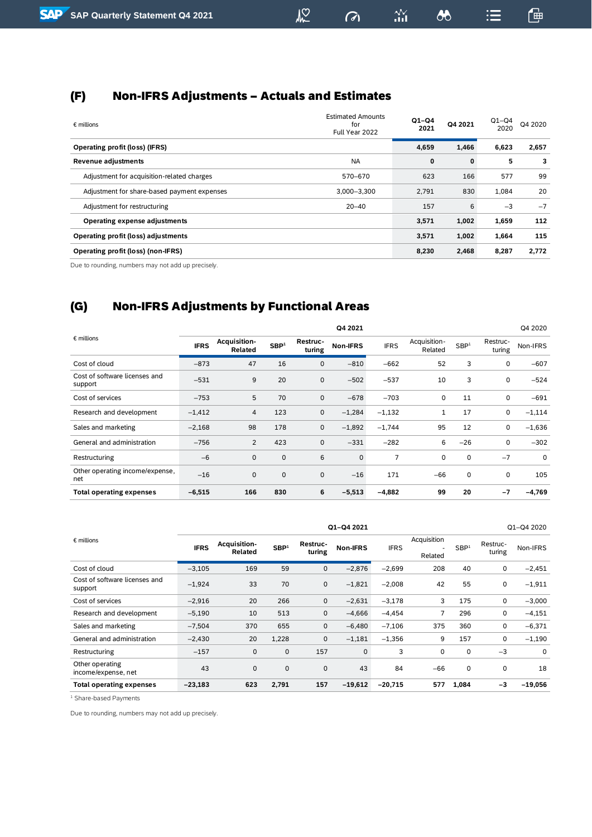## <span id="page-22-0"></span>(F) Non-IFRS Adjustments – Actuals and Estimates

| $\epsilon$ millions                         | <b>Estimated Amounts</b><br>for<br>Full Year 2022 | $Q1 - Q4$<br>2021 | Q4 2021 | $Q1-Q4$<br>2020 | Q4 2020 |
|---------------------------------------------|---------------------------------------------------|-------------------|---------|-----------------|---------|
| <b>Operating profit (loss) (IFRS)</b>       |                                                   | 4,659             | 1,466   | 6,623           | 2,657   |
| <b>Revenue adjustments</b>                  | <b>NA</b>                                         | 0                 | 0       | 5               | 3       |
| Adjustment for acquisition-related charges  | 570-670                                           | 623               | 166     | 577             | 99      |
| Adjustment for share-based payment expenses | 3,000-3,300                                       | 2.791             | 830     | 1.084           | 20      |
| Adjustment for restructuring                | $20 - 40$                                         | 157               | 6       | $-3$            | $-7$    |
| <b>Operating expense adjustments</b>        |                                                   | 3,571             | 1,002   | 1,659           | 112     |
| Operating profit (loss) adjustments         |                                                   | 3,571             | 1,002   | 1,664           | 115     |
| <b>Operating profit (loss) (non-IFRS)</b>   |                                                   | 8,230             | 2,468   | 8,287           | 2,772   |

 $M<sup>2</sup>$ 

 $\sigma$ 

 $\frac{2V}{111}$ 

 $\delta$ 

鱼

 $\equiv$ 

Due to rounding, numbers may not add up precisely.

## <span id="page-22-1"></span>(G) Non-IFRS Adjustments by Functional Areas

|                                          |             |                         |                  |                    | Q4 2021     |             |                         |                  |                    | Q4 2020  |
|------------------------------------------|-------------|-------------------------|------------------|--------------------|-------------|-------------|-------------------------|------------------|--------------------|----------|
| $\epsilon$ millions                      | <b>IFRS</b> | Acquisition-<br>Related | SBP <sup>1</sup> | Restruc-<br>turing | Non-IFRS    | <b>IFRS</b> | Acquisition-<br>Related | SBP <sup>1</sup> | Restruc-<br>turing | Non-IFRS |
| Cost of cloud                            | $-873$      | 47                      | 16               | $\mathbf{0}$       | $-810$      | $-662$      | 52                      | 3                | 0                  | $-607$   |
| Cost of software licenses and<br>support | $-531$      | 9                       | 20               | 0                  | $-502$      | $-537$      | 10                      | 3                | 0                  | $-524$   |
| Cost of services                         | $-753$      | 5                       | 70               | $\mathbf 0$        | $-678$      | $-703$      | 0                       | 11               | 0                  | $-691$   |
| Research and development                 | $-1,412$    | $\overline{4}$          | 123              | 0                  | $-1,284$    | $-1,132$    | 1                       | 17               | 0                  | $-1,114$ |
| Sales and marketing                      | $-2,168$    | 98                      | 178              | $\mathbf 0$        | $-1,892$    | $-1,744$    | 95                      | 12               | 0                  | $-1,636$ |
| General and administration               | $-756$      | 2                       | 423              | $\mathbf 0$        | $-331$      | $-282$      | 6                       | $-26$            | 0                  | $-302$   |
| Restructuring                            | $-6$        | $\mathbf 0$             | $\mathbf 0$      | 6                  | $\mathbf 0$ | 7           | 0                       | 0                | $-7$               | 0        |
| Other operating income/expense,<br>net   | $-16$       | $\mathbf 0$             | $\mathbf 0$      | $\mathbf 0$        | $-16$       | 171         | $-66$                   | 0                | 0                  | 105      |
| <b>Total operating expenses</b>          | $-6,515$    | 166                     | 830              | 6                  | $-5,513$    | $-4,882$    | 99                      | 20               | $-7$               | $-4,769$ |

|                                          | Q1-Q4 2021  |                         |                  |                    |                 |             |                        |                  |                    | Q1-Q4 2020 |
|------------------------------------------|-------------|-------------------------|------------------|--------------------|-----------------|-------------|------------------------|------------------|--------------------|------------|
| $\epsilon$ millions                      | <b>IFRS</b> | Acquisition-<br>Related | SBP <sup>1</sup> | Restruc-<br>turing | <b>Non-IFRS</b> | <b>IFRS</b> | Acquisition<br>Related | SBP <sup>1</sup> | Restruc-<br>turing | Non-IFRS   |
| Cost of cloud                            | $-3,105$    | 169                     | 59               | $\mathbf 0$        | $-2,876$        | $-2,699$    | 208                    | 40               | 0                  | $-2,451$   |
| Cost of software licenses and<br>support | $-1,924$    | 33                      | 70               | $\mathbf 0$        | $-1,821$        | $-2,008$    | 42                     | 55               | 0                  | $-1,911$   |
| Cost of services                         | $-2,916$    | 20                      | 266              | $\mathbf 0$        | $-2,631$        | $-3,178$    | 3                      | 175              | 0                  | $-3,000$   |
| Research and development                 | $-5,190$    | 10                      | 513              | $\mathbf 0$        | $-4,666$        | $-4,454$    | 7                      | 296              | 0                  | $-4,151$   |
| Sales and marketing                      | $-7,504$    | 370                     | 655              | 0                  | $-6,480$        | $-7,106$    | 375                    | 360              | 0                  | $-6,371$   |
| General and administration               | $-2,430$    | 20                      | 1,228            | $\mathbf 0$        | $-1,181$        | $-1,356$    | 9                      | 157              | 0                  | $-1,190$   |
| Restructuring                            | $-157$      | $\mathbf 0$             | $\mathbf 0$      | 157                | $\mathbf 0$     | 3           | 0                      | 0                | $-3$               | 0          |
| Other operating<br>income/expense, net   | 43          | $\mathbf 0$             | $\mathbf 0$      | $\mathbf 0$        | 43              | 84          | $-66$                  | 0                | 0                  | 18         |
| <b>Total operating expenses</b>          | $-23,183$   | 623                     | 2,791            | 157                | $-19,612$       | $-20,715$   | 577                    | 1,084            | $-3$               | $-19,056$  |

<sup>1</sup> Share-based Payments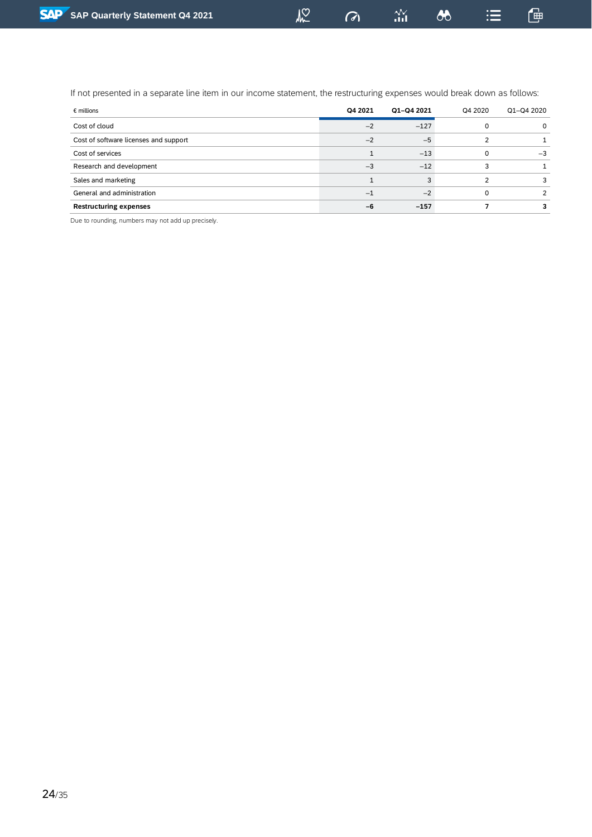$\sigma$ 

 $\stackrel{\textstyle\Delta\!N}{\textstyle_{\textstyle\rm III}}$ 

 $\lambda$ 

鱼

If not presented in a separate line item in our income statement, the restructuring expenses would break down as follows:

| $\epsilon$ millions                   | Q4 2021 | Q1-Q4 2021 | Q4 2020 | Q1-Q4 2020 |
|---------------------------------------|---------|------------|---------|------------|
| Cost of cloud                         | $-2$    | $-127$     |         | $\Omega$   |
| Cost of software licenses and support | $-2$    | $-5$       |         |            |
| Cost of services                      |         | $-13$      |         | $-3$       |
| Research and development              | $-3$    | $-12$      |         |            |
| Sales and marketing                   |         | 3          |         | 3          |
| General and administration            | —       | $-2$       |         | 2          |
| <b>Restructuring expenses</b>         | -6      | $-157$     |         |            |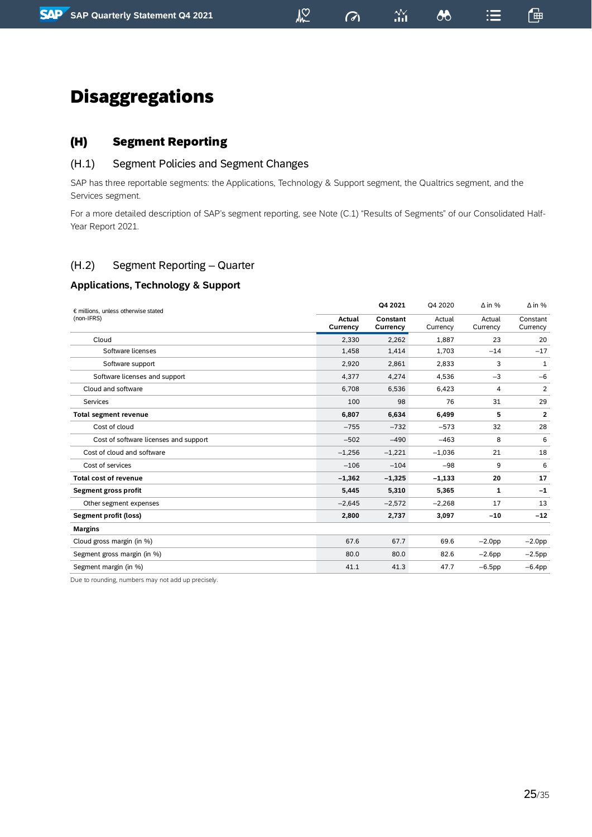## $\sqrt{2}$

 $\sigma$ 

 $\boldsymbol{\omega}$ 

 $\mathrel{\mathop:}=$ 

## <span id="page-24-0"></span>Disaggregations

## <span id="page-24-1"></span>(H) Segment Reporting

### <span id="page-24-2"></span>(H.1) Segment Policies and Segment Changes

SAP has three reportable segments: the Applications, Technology & Support segment, the Qualtrics segment, and the Services segment.

For a more detailed description of SAP's segment reporting, see Note (C.1) "Results of Segments" of our Consolidated Half-Year Report 2021.

## <span id="page-24-3"></span>(H.2) Segment Reporting – Quarter

### **Applications, Technology & Support**

| € millions, unless otherwise stated   |                    | Q4 2021              | Q4 2020            | $\Delta$ in %      | $\Delta$ in %        |
|---------------------------------------|--------------------|----------------------|--------------------|--------------------|----------------------|
| (non-IFRS)                            | Actual<br>Currency | Constant<br>Currency | Actual<br>Currency | Actual<br>Currency | Constant<br>Currency |
| Cloud                                 | 2,330              | 2,262                | 1,887              | 23                 | 20                   |
| Software licenses                     | 1,458              | 1,414                | 1,703              | $-14$              | $-17$                |
| Software support                      | 2,920              | 2,861                | 2,833              | 3                  | 1                    |
| Software licenses and support         | 4,377              | 4,274                | 4,536              | $-3$               | $-6$                 |
| Cloud and software                    | 6,708              | 6,536                | 6,423              | 4                  | 2                    |
| Services                              | 100                | 98                   | 76                 | 31                 | 29                   |
| <b>Total segment revenue</b>          | 6,807              | 6,634                | 6,499              | 5                  | 2                    |
| Cost of cloud                         | $-755$             | $-732$               | $-573$             | 32                 | 28                   |
| Cost of software licenses and support | $-502$             | $-490$               | $-463$             | 8                  | 6                    |
| Cost of cloud and software            | $-1,256$           | $-1,221$             | $-1,036$           | 21                 | 18                   |
| Cost of services                      | $-106$             | $-104$               | $-98$              | 9                  | 6                    |
| <b>Total cost of revenue</b>          | $-1,362$           | $-1,325$             | $-1,133$           | 20                 | 17                   |
| Segment gross profit                  | 5,445              | 5,310                | 5,365              | 1                  | $-1$                 |
| Other segment expenses                | $-2,645$           | $-2,572$             | $-2,268$           | 17                 | 13                   |
| Segment profit (loss)                 | 2,800              | 2,737                | 3,097              | $-10$              | $-12$                |
| <b>Margins</b>                        |                    |                      |                    |                    |                      |
| Cloud gross margin (in %)             | 67.6               | 67.7                 | 69.6               | $-2.0$ pp          | $-2.0$ pp            |
| Segment gross margin (in %)           | 80.0               | 80.0                 | 82.6               | $-2.6$ pp          | $-2.5$ pp            |
| Segment margin (in %)                 | 41.1               | 41.3                 | 47.7               | $-6.5$ pp          | $-6.4$ pp            |
|                                       |                    |                      |                    |                    |                      |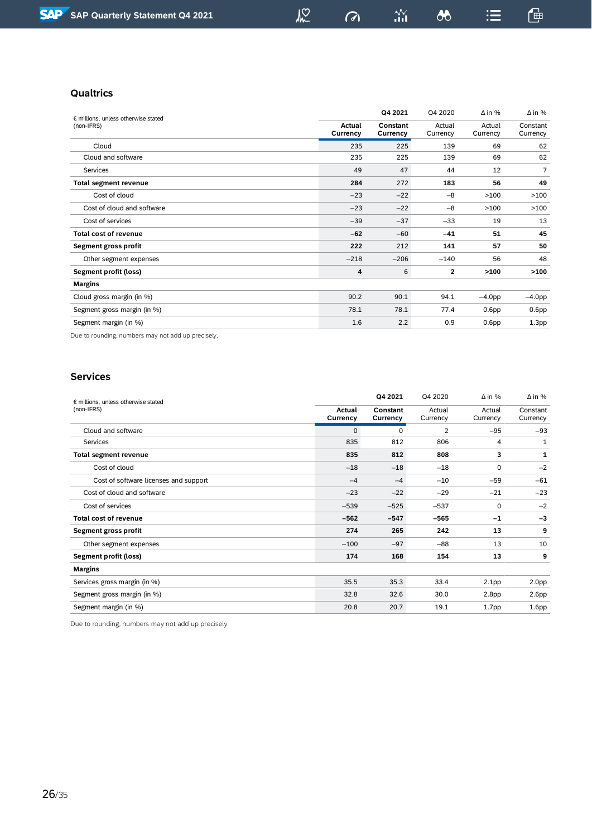## $\sqrt{2}$

 $\sigma$ 

 $\frac{\Delta V}{\Delta H}$ 

鱼

 $\mathrel{\mathop:}=$ 

#### **Qualtrics**

| € millions, unless otherwise stated |                    | Q4 2021              | Q4 2020            | $\Delta$ in %      | $\Delta$ in %        |
|-------------------------------------|--------------------|----------------------|--------------------|--------------------|----------------------|
| (non-IFRS)                          | Actual<br>Currency | Constant<br>Currency | Actual<br>Currency | Actual<br>Currency | Constant<br>Currency |
| Cloud                               | 235                | 225                  | 139                | 69                 | 62                   |
| Cloud and software                  | 235                | 225                  | 139                | 69                 | 62                   |
| Services                            | 49                 | 47                   | 44                 | 12                 | $\overline{7}$       |
| <b>Total segment revenue</b>        | 284                | 272                  | 183                | 56                 | 49                   |
| Cost of cloud                       | $-23$              | $-22$                | $-8$               | >100               | >100                 |
| Cost of cloud and software          | $-23$              | $-22$                | $-8$               | >100               | >100                 |
| Cost of services                    | $-39$              | $-37$                | $-33$              | 19                 | 13                   |
| <b>Total cost of revenue</b>        | $-62$              | $-60$                | $-41$              | 51                 | 45                   |
| Segment gross profit                | 222                | 212                  | 141                | 57                 | 50                   |
| Other segment expenses              | $-218$             | $-206$               | $-140$             | 56                 | 48                   |
| Segment profit (loss)               | 4                  | 6                    | $\overline{2}$     | >100               | >100                 |
| <b>Margins</b>                      |                    |                      |                    |                    |                      |
| Cloud gross margin (in %)           | 90.2               | 90.1                 | 94.1               | $-4.0$ pp          | $-4.0$ pp            |
| Segment gross margin (in %)         | 78.1               | 78.1                 | 77.4               | 0.6 <sub>pp</sub>  | 0.6 <sub>pp</sub>    |
| Segment margin (in %)               | 1.6                | 2.2                  | 0.9                | 0.6 <sub>pp</sub>  | 1.3 <sub>pp</sub>    |

Due to rounding, numbers may not add up precisely.

#### **Services**

|                    | Q4 2021              | Q4 2020            | $\Delta$ in %      | $\Delta$ in %        |
|--------------------|----------------------|--------------------|--------------------|----------------------|
| Actual<br>Currency | Constant<br>Currency | Actual<br>Currency | Actual<br>Currency | Constant<br>Currency |
| $\mathbf{0}$       | 0                    | 2                  | $-95$              | $-93$                |
| 835                | 812                  | 806                | 4                  | 1                    |
| 835                | 812                  | 808                | 3                  | 1                    |
| $-18$              | $-18$                | $-18$              | 0                  | $-2$                 |
| $-4$               | $-4$                 | $-10$              | $-59$              | $-61$                |
| $-23$              | $-22$                | $-29$              | $-21$              | $-23$                |
| $-539$             | $-525$               | $-537$             | 0                  | $-2$                 |
| $-562$             | $-547$               | $-565$             | $-1$               | $-3$                 |
| 274                | 265                  | 242                | 13                 | 9                    |
| $-100$             | $-97$                | $-88$              | 13                 | 10                   |
| 174                | 168                  | 154                | 13                 | 9                    |
|                    |                      |                    |                    |                      |
| 35.5               | 35.3                 | 33.4               | 2.1 <sub>pp</sub>  | 2.0 <sub>pp</sub>    |
| 32.8               | 32.6                 | 30.0               | 2.8 <sub>pp</sub>  | 2.6 <sub>pp</sub>    |
| 20.8               | 20.7                 | 19.1               | 1.7 <sub>pp</sub>  | 1.6 <sub>pp</sub>    |
|                    |                      |                    |                    |                      |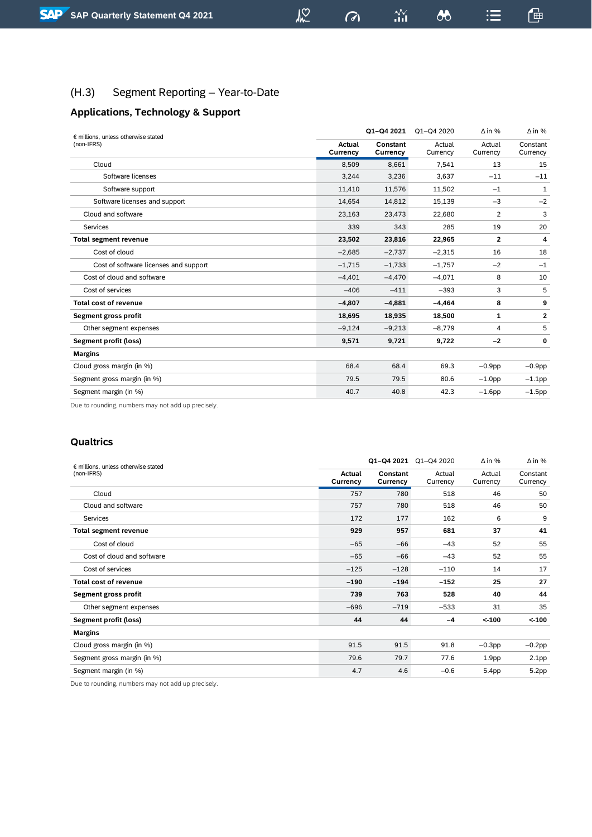## <span id="page-26-0"></span>(H.3) Segment Reporting – Year-to-Date

## **Applications, Technology & Support**

| € millions, unless otherwise stated   |                    | Q1-Q4 2021           | Q1-Q4 2020         | $\Delta$ in %      | $\Delta$ in %        |
|---------------------------------------|--------------------|----------------------|--------------------|--------------------|----------------------|
| (non-IFRS)                            | Actual<br>Currency | Constant<br>Currency | Actual<br>Currency | Actual<br>Currency | Constant<br>Currency |
| Cloud                                 | 8,509              | 8,661                | 7,541              | 13                 | 15                   |
| Software licenses                     | 3,244              | 3,236                | 3,637              | $-11$              | $-11$                |
| Software support                      | 11,410             | 11,576               | 11,502             | $-1$               | 1                    |
| Software licenses and support         | 14,654             | 14,812               | 15,139             | $-3$               | $-2$                 |
| Cloud and software                    | 23,163             | 23,473               | 22,680             | 2                  | 3                    |
| Services                              | 339                | 343                  | 285                | 19                 | 20                   |
| <b>Total segment revenue</b>          | 23,502             | 23,816               | 22,965             | $\overline{2}$     | 4                    |
| Cost of cloud                         | $-2,685$           | $-2,737$             | $-2,315$           | 16                 | 18                   |
| Cost of software licenses and support | $-1,715$           | $-1,733$             | $-1,757$           | $-2$               | $-1$                 |
| Cost of cloud and software            | $-4,401$           | $-4,470$             | $-4,071$           | 8                  | 10                   |
| Cost of services                      | $-406$             | $-411$               | $-393$             | 3                  | 5                    |
| <b>Total cost of revenue</b>          | $-4,807$           | $-4,881$             | $-4,464$           | 8                  | 9                    |
| Segment gross profit                  | 18,695             | 18,935               | 18,500             | 1                  | 2                    |
| Other segment expenses                | $-9,124$           | $-9,213$             | $-8,779$           | 4                  | 5                    |
| Segment profit (loss)                 | 9,571              | 9,721                | 9,722              | $-2$               | 0                    |
| <b>Margins</b>                        |                    |                      |                    |                    |                      |
| Cloud gross margin (in %)             | 68.4               | 68.4                 | 69.3               | $-0.9$ pp          | $-0.9$ pp            |
| Segment gross margin (in %)           | 79.5               | 79.5                 | 80.6               | $-1.0$ pp          | $-1.1$ pp            |
| Segment margin (in %)                 | 40.7               | 40.8                 | 42.3               | $-1.6$ pp          | $-1.5$ pp            |

Due to rounding, numbers may not add up precisely.

#### **Qualtrics**

| $\epsilon$ millions, unless otherwise stated | Q1-Q4 2021                |                      |                    | $\Delta$ in %      | $\Delta$ in %        |
|----------------------------------------------|---------------------------|----------------------|--------------------|--------------------|----------------------|
| (non-IFRS)                                   | <b>Actual</b><br>Currency | Constant<br>Currency | Actual<br>Currency | Actual<br>Currency | Constant<br>Currency |
| Cloud                                        | 757                       | 780                  | 518                | 46                 | 50                   |
| Cloud and software                           | 757                       | 780                  | 518                | 46                 | 50                   |
| Services                                     | 172                       | 177                  | 162                | 6                  | 9                    |
| <b>Total segment revenue</b>                 | 929                       | 957                  | 681                | 37                 | 41                   |
| Cost of cloud                                | $-65$                     | $-66$                | $-43$              | 52                 | 55                   |
| Cost of cloud and software                   | $-65$                     | $-66$                | $-43$              | 52                 | 55                   |
| Cost of services                             | $-125$                    | $-128$               | $-110$             | 14                 | 17                   |
| <b>Total cost of revenue</b>                 | $-190$                    | $-194$               | $-152$             | 25                 | 27                   |
| Segment gross profit                         | 739                       | 763                  | 528                | 40                 | 44                   |
| Other segment expenses                       | $-696$                    | $-719$               | $-533$             | 31                 | 35                   |
| Segment profit (loss)                        | 44                        | 44                   | $-4$               | < 100              | $< -100$             |
| <b>Margins</b>                               |                           |                      |                    |                    |                      |
| Cloud gross margin (in %)                    | 91.5                      | 91.5                 | 91.8               | $-0.3$ pp          | $-0.2$ pp            |
| Segment gross margin (in %)                  | 79.6                      | 79.7                 | 77.6               | 1.9 <sub>pp</sub>  | 2.1 <sub>pp</sub>    |
| Segment margin (in %)                        | 4.7                       | 4.6                  | $-0.6$             | 5.4pp              | 5.2 <sub>pp</sub>    |

Due to rounding, numbers may not add up precisely.

 $\omega$ 

 $\frac{\Delta \mathbf{V}}{\Delta \mathbf{H}}$ 

 $\delta$ 

鱼

 $\equiv$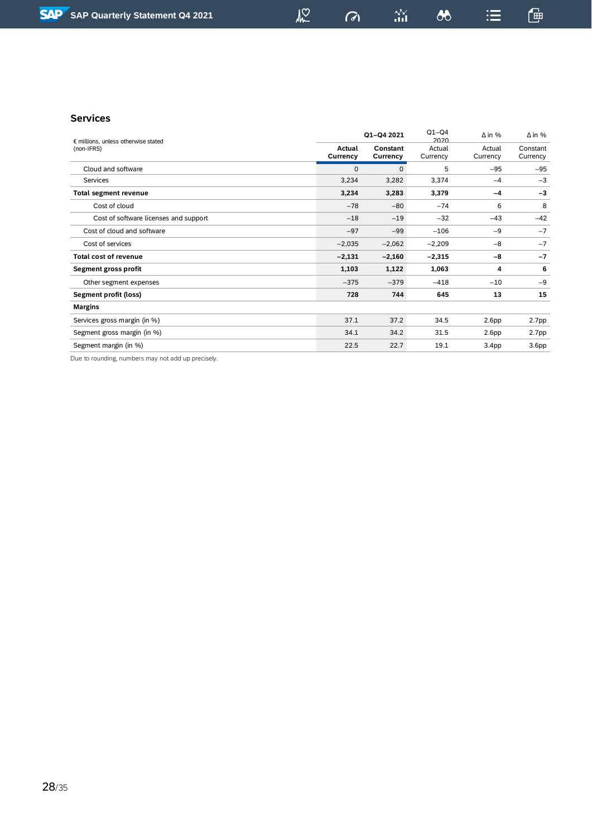$\sigma$ 

 $\frac{\Delta V}{\Delta H}$ 

鱼

 $\mathrel{\mathop:}=$ 

#### **Services**

| $\epsilon$ millions, unless otherwise stated |                    | Q1-Q4 2021           | $Q1-Q4$<br>2020    | $\Delta$ in %      | $\Delta$ in %        |  |
|----------------------------------------------|--------------------|----------------------|--------------------|--------------------|----------------------|--|
| (non-IFRS)                                   | Actual<br>Currency | Constant<br>Currency | Actual<br>Currency | Actual<br>Currency | Constant<br>Currency |  |
| Cloud and software                           | $\mathbf 0$        | $\mathbf 0$          | 5                  | $-95$              | $-95$                |  |
| Services                                     | 3,234              | 3,282                | 3,374              | $-4$               | $-3$                 |  |
| <b>Total segment revenue</b>                 | 3,234              | 3,283                | 3,379              | $-4$               | $-3$                 |  |
| Cost of cloud                                | $-78$              | $-80$                | $-74$              | 6                  | 8                    |  |
| Cost of software licenses and support        | $-18$              | $-19$                | $-32$              | $-43$              | $-42$                |  |
| Cost of cloud and software                   | $-97$              | $-99$                | $-106$             | $-9$               | $-7$                 |  |
| Cost of services                             | $-2,035$           | $-2,062$             | $-2,209$           | $-8$               | $-7$                 |  |
| Total cost of revenue                        | $-2,131$           | $-2,160$             | $-2,315$           | -8                 | $-7$                 |  |
| Segment gross profit                         | 1,103              | 1,122                | 1,063              | 4                  | 6                    |  |
| Other segment expenses                       | $-375$             | $-379$               | $-418$             | $-10$              | $-9$                 |  |
| Segment profit (loss)                        | 728                | 744                  | 645                | 13                 | 15                   |  |
| <b>Margins</b>                               |                    |                      |                    |                    |                      |  |
| Services gross margin (in %)                 | 37.1               | 37.2                 | 34.5               | 2.6 <sub>pp</sub>  | 2.7pp                |  |
| Segment gross margin (in %)                  | 34.1               | 34.2                 | 31.5               | 2.6 <sub>pp</sub>  | 2.7pp                |  |
| Segment margin (in %)                        | 22.5               | 22.7                 | 19.1               | 3.4 <sub>pp</sub>  | 3.6 <sub>pp</sub>    |  |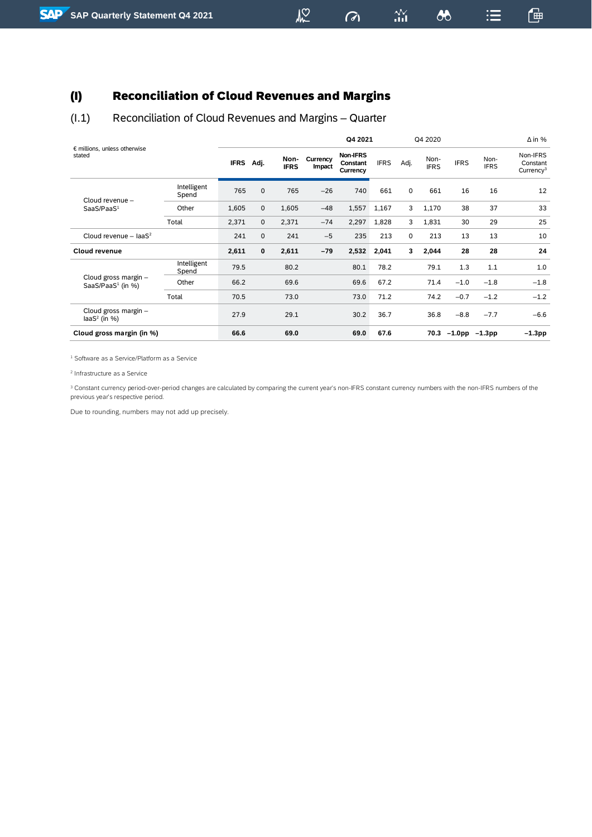## <span id="page-28-0"></span>(I) Reconciliation of Cloud Revenues and Margins

## <span id="page-28-1"></span>(I.1) Reconciliation of Cloud Revenues and Margins – Quarter

| € millions, unless otherwise                          |                      | Q4 2021     |             |                     |                    | Q4 2020                          |             | $\Delta$ in % |                     |             |                     |                                               |
|-------------------------------------------------------|----------------------|-------------|-------------|---------------------|--------------------|----------------------------------|-------------|---------------|---------------------|-------------|---------------------|-----------------------------------------------|
| stated                                                |                      | <b>IFRS</b> | Adj.        | Non-<br><b>IFRS</b> | Currency<br>Impact | Non-IFRS<br>Constant<br>Currency | <b>IFRS</b> | Adj.          | Non-<br><b>IFRS</b> | <b>IFRS</b> | Non-<br><b>IFRS</b> | Non-IFRS<br>Constant<br>Currency <sup>3</sup> |
| Cloud revenue -                                       | Intelligent<br>Spend | 765         | $\mathbf 0$ | 765                 | $-26$              | 740                              | 661         | 0             | 661                 | 16          | 16                  | 12                                            |
| SaaS/PaaS <sup>1</sup>                                | Other                | 1,605       | $\mathbf 0$ | 1,605               | $-48$              | 1,557                            | 1,167       | 3             | 1,170               | 38          | 37                  | 33                                            |
|                                                       | Total                | 2,371       | $\mathbf 0$ | 2,371               | $-74$              | 2,297                            | 1,828       | 3             | 1,831               | 30          | 29                  | 25                                            |
| Cloud revenue - $IaaS2$                               |                      | 241         | $\mathbf 0$ | 241                 | $-5$               | 235                              | 213         | $\Omega$      | 213                 | 13          | 13                  | 10                                            |
| <b>Cloud revenue</b>                                  |                      | 2,611       | 0           | 2,611               | $-79$              | 2,532                            | 2,041       | 3             | 2,044               | 28          | 28                  | 24                                            |
|                                                       | Intelligent<br>Spend | 79.5        |             | 80.2                |                    | 80.1                             | 78.2        |               | 79.1                | 1.3         | 1.1                 | 1.0                                           |
| Cloud gross margin -<br>SaaS/PaaS <sup>1</sup> (in %) | Other                | 66.2        |             | 69.6                |                    | 69.6                             | 67.2        |               | 71.4                | $-1.0$      | $-1.8$              | $-1.8$                                        |
|                                                       | Total                | 70.5        |             | 73.0                |                    | 73.0                             | 71.2        |               | 74.2                | $-0.7$      | $-1.2$              | $-1.2$                                        |
| Cloud gross margin -<br>$laS2$ (in %)                 |                      | 27.9        |             | 29.1                |                    | 30.2                             | 36.7        |               | 36.8                | $-8.8$      | $-7.7$              | $-6.6$                                        |
| Cloud gross margin (in %)                             |                      | 66.6        |             | 69.0                |                    | 69.0                             | 67.6        |               | 70.3                | $-1.0$ pp   | $-1.3$ pp           | $-1.3$ pp                                     |

<sup>1</sup> Software as a Service/Platform as a Service

2 Infrastructure as a Service

<sup>3</sup> Constant currency period-over-period changes are calculated by comparing the current year's non-IFRS constant currency numbers with the non-IFRS numbers of the previous year's respective period.

Due to rounding, numbers may not add up precisely.

 $\sigma$ 

 $\frac{N}{n+1}$ 

 $\boldsymbol{\omega}$ 

一

 $\mathrel{\mathop:}=$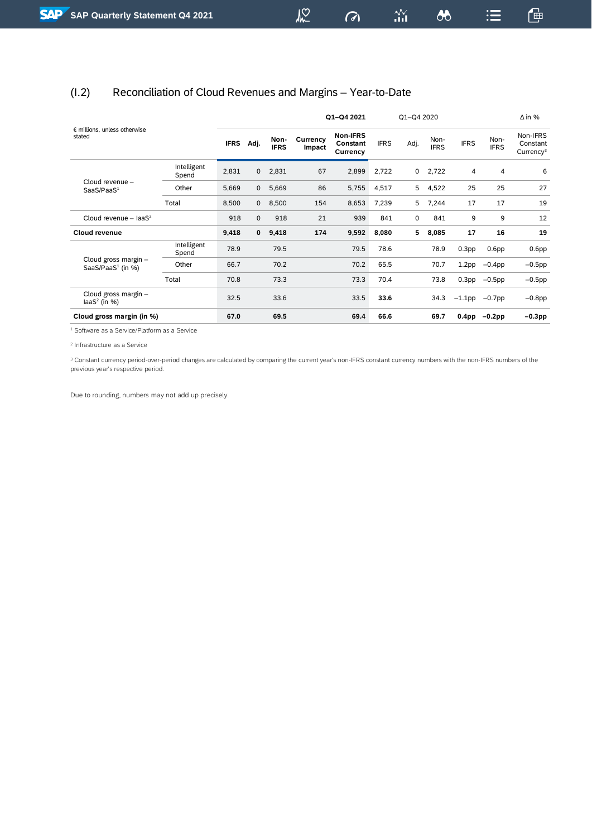## <span id="page-29-0"></span>(I.2) Reconciliation of Cloud Revenues and Margins – Year-to-Date

| $\epsilon$ millions, unless otherwise                 |                      | Q1-Q4 2021  |              |                     |                    |                                  |             | Q1-Q4 2020 |                     |                   |                     | $\Delta$ in %                                 |  |  |
|-------------------------------------------------------|----------------------|-------------|--------------|---------------------|--------------------|----------------------------------|-------------|------------|---------------------|-------------------|---------------------|-----------------------------------------------|--|--|
| stated                                                |                      | <b>IFRS</b> | Adj.         | Non-<br><b>IFRS</b> | Currency<br>Impact | Non-IFRS<br>Constant<br>Currency | <b>IFRS</b> | Adj.       | Non-<br><b>IFRS</b> | <b>IFRS</b>       | Non-<br><b>IFRS</b> | Non-IFRS<br>Constant<br>Currence <sup>3</sup> |  |  |
|                                                       | Intelligent<br>Spend | 2,831       | $\mathbf 0$  | 2,831               | 67                 | 2,899                            | 2,722       | 0          | 2,722               | 4                 | 4                   | 6                                             |  |  |
| Cloud revenue -<br>SaaS/PaaS <sup>1</sup>             | Other                | 5,669       | $\mathbf{0}$ | 5,669               | 86                 | 5,755                            | 4,517       | 5          | 4,522               | 25                | 25                  | 27                                            |  |  |
|                                                       | Total                | 8,500       | $\mathbf{0}$ | 8,500               | 154                | 8,653                            | 7,239       | 5          | 7,244               | 17                | 17                  | 19                                            |  |  |
| Cloud revenue - $IaaS2$                               |                      | 918         | $\mathbf 0$  | 918                 | 21                 | 939                              | 841         | 0          | 841                 | 9                 | 9                   | 12                                            |  |  |
| Cloud revenue                                         |                      | 9,418       | 0            | 9,418               | 174                | 9,592                            | 8,080       | 5          | 8,085               | 17                | 16                  | 19                                            |  |  |
|                                                       | Intelligent<br>Spend | 78.9        |              | 79.5                |                    | 79.5                             | 78.6        |            | 78.9                | 0.3 <sub>pp</sub> | 0.6 <sub>pp</sub>   | 0.6 <sub>pp</sub>                             |  |  |
| Cloud gross margin -<br>SaaS/PaaS <sup>1</sup> (in %) | Other                | 66.7        |              | 70.2                |                    | 70.2                             | 65.5        |            | 70.7                | 1.2 <sub>pp</sub> | $-0.4$ pp           | $-0.5$ pp                                     |  |  |
|                                                       | Total                | 70.8        |              | 73.3                |                    | 73.3                             | 70.4        |            | 73.8                | 0.3 <sub>pp</sub> | $-0.5$ pp           | $-0.5$ pp                                     |  |  |
| Cloud gross margin -<br>$laS2$ (in %)                 |                      | 32.5        |              | 33.6                |                    | 33.5                             | 33.6        |            | 34.3                | $-1.1$ pp         | $-0.7$ pp           | $-0.8$ pp                                     |  |  |
| Cloud gross margin (in %)                             |                      | 67.0        |              | 69.5                |                    | 69.4                             | 66.6        |            | 69.7                | 0.4 <sub>pp</sub> | $-0.2$ pp           | $-0.3$ pp                                     |  |  |

<sup>1</sup> Software as a Service/Platform as a Service

2 Infrastructure as a Service

<sup>3</sup> Constant currency period-over-period changes are calculated by comparing the current year's non-IFRS constant currency numbers with the non-IFRS numbers of the previous year's respective period.

Due to rounding, numbers may not add up precisely.

 $\sigma$ 

 $\frac{\Delta \mathbf{V}}{\Delta \mathbf{H}}$ 

 $\delta$ 

通

這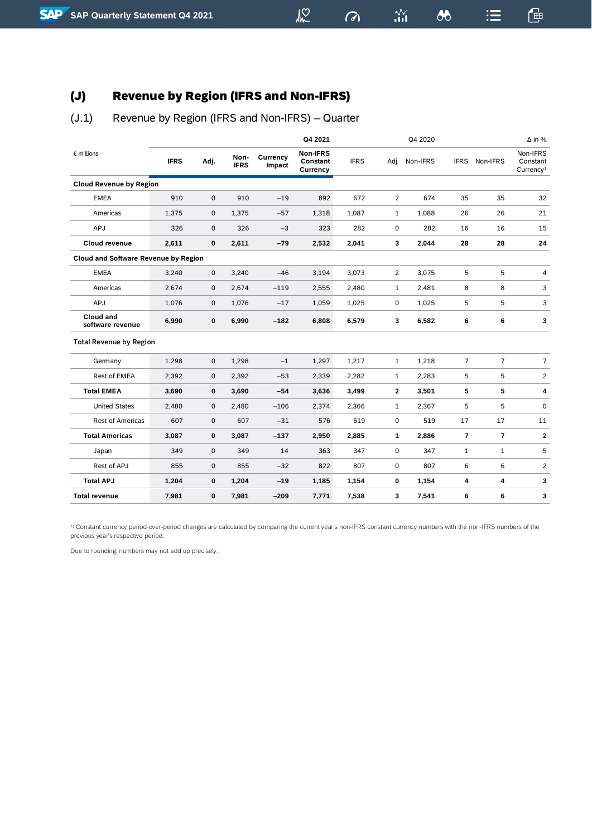## <span id="page-30-0"></span>(J) Revenue by Region (IFRS and Non-IFRS)

## <span id="page-30-1"></span>(J.1) Revenue by Region (IFRS and Non-IFRS) – Quarter

|                                             |             |             |                     |                    | Q4 2021                          |             |                | Q4 2020  |                |                | $\Delta$ in %                                 |
|---------------------------------------------|-------------|-------------|---------------------|--------------------|----------------------------------|-------------|----------------|----------|----------------|----------------|-----------------------------------------------|
| $\epsilon$ millions                         | <b>IFRS</b> | Adj.        | Non-<br><b>IFRS</b> | Currency<br>Impact | Non-IFRS<br>Constant<br>Currency | <b>IFRS</b> | Adj.           | Non-IFRS | <b>IFRS</b>    | Non-IFRS       | Non-IFRS<br>Constant<br>Currence <sup>1</sup> |
| <b>Cloud Revenue by Region</b>              |             |             |                     |                    |                                  |             |                |          |                |                |                                               |
| <b>EMEA</b>                                 | 910         | 0           | 910                 | $-19$              | 892                              | 672         | $\overline{2}$ | 674      | 35             | 35             | 32                                            |
| Americas                                    | 1,375       | $\mathbf 0$ | 1,375               | $-57$              | 1,318                            | 1,087       | $\mathbf{1}$   | 1,088    | 26             | 26             | 21                                            |
| APJ                                         | 326         | 0           | 326                 | $-3$               | 323                              | 282         | 0              | 282      | 16             | 16             | 15                                            |
| <b>Cloud revenue</b>                        | 2,611       | 0           | 2,611               | $-79$              | 2,532                            | 2,041       | 3              | 2,044    | 28             | 28             | 24                                            |
| <b>Cloud and Software Revenue by Region</b> |             |             |                     |                    |                                  |             |                |          |                |                |                                               |
| <b>EMEA</b>                                 | 3,240       | 0           | 3,240               | $-46$              | 3,194                            | 3,073       | $\overline{2}$ | 3,075    | 5              | 5              | 4                                             |
| Americas                                    | 2,674       | 0           | 2,674               | $-119$             | 2,555                            | 2,480       | $\mathbf{1}$   | 2,481    | 8              | 8              | 3                                             |
| APJ                                         | 1,076       | $\mathbf 0$ | 1,076               | $-17$              | 1,059                            | 1,025       | 0              | 1,025    | 5              | 5              | 3                                             |
| <b>Cloud and</b><br>software revenue        | 6,990       | 0           | 6,990               | $-182$             | 6,808                            | 6,579       | 3              | 6,582    | 6              | 6              | 3                                             |
| <b>Total Revenue by Region</b>              |             |             |                     |                    |                                  |             |                |          |                |                |                                               |
| Germany                                     | 1,298       | 0           | 1,298               | $-1$               | 1,297                            | 1,217       | $\mathbf{1}$   | 1,218    | $\overline{7}$ | $\overline{7}$ | $\overline{7}$                                |
| Rest of EMEA                                | 2,392       | 0           | 2,392               | $-53$              | 2,339                            | 2,282       | 1              | 2,283    | 5              | 5              | $\overline{\mathbf{c}}$                       |
| <b>Total EMEA</b>                           | 3,690       | 0           | 3,690               | $-54$              | 3,636                            | 3,499       | 2              | 3,501    | 5              | 5              | 4                                             |
| <b>United States</b>                        | 2,480       | 0           | 2,480               | $-106$             | 2,374                            | 2,366       | 1              | 2,367    | 5              | 5              | 0                                             |
| <b>Rest of Americas</b>                     | 607         | 0           | 607                 | $-31$              | 576                              | 519         | 0              | 519      | 17             | 17             | 11                                            |
| <b>Total Americas</b>                       | 3,087       | 0           | 3,087               | $-137$             | 2,950                            | 2,885       | $\mathbf{1}$   | 2,886    | $\overline{7}$ | 7              | $\mathbf{2}$                                  |
| Japan                                       | 349         | 0           | 349                 | 14                 | 363                              | 347         | 0              | 347      | $\mathbf{1}$   | $\mathbf{1}$   | 5                                             |
| Rest of APJ                                 | 855         | 0           | 855                 | $-32$              | 822                              | 807         | 0              | 807      | 6              | 6              | 2                                             |
| <b>Total APJ</b>                            | 1,204       | 0           | 1,204               | $-19$              | 1,185                            | 1,154       | 0              | 1,154    | 4              | 4              | 3                                             |
| <b>Total revenue</b>                        | 7,981       | 0           | 7,981               | $-209$             | 7,771                            | 7,538       | 3              | 7,541    | 6              | 6              | 3                                             |

 $M<sup>2</sup>$ 

 $\frac{3N}{111}$ 

 $\sigma$ 

 $\lambda$ 

通

 $\mathrel{\mathop:}=$ 

<sup>1)</sup> Constant currency period-over-period changes are calculated by comparing the current year's non-IFRS constant currency numbers with the non-IFRS numbers of the previous year's respective period.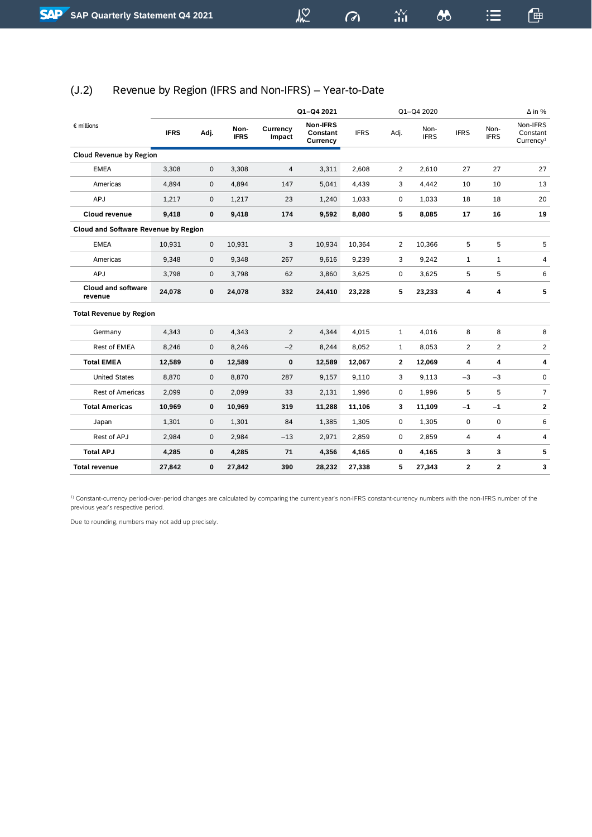$\sigma$ 

 $\frac{\Delta \mathbf{V}}{\Delta \mathbf{H}}$ 

鱼

<span id="page-31-0"></span>

| (J.2) | Revenue by Region (IFRS and Non-IFRS) - Year-to-Date |
|-------|------------------------------------------------------|
|-------|------------------------------------------------------|

|                                             |             |              |                     |                    | Q1-Q4 2021                       |             |                | Q1-Q4 2020          |              |                     | $\Delta$ in %                                 |
|---------------------------------------------|-------------|--------------|---------------------|--------------------|----------------------------------|-------------|----------------|---------------------|--------------|---------------------|-----------------------------------------------|
| $\epsilon$ millions                         | <b>IFRS</b> | Adj.         | Non-<br><b>IFRS</b> | Currency<br>Impact | Non-IFRS<br>Constant<br>Currency | <b>IFRS</b> | Adj.           | Non-<br><b>IFRS</b> | <b>IFRS</b>  | Non-<br><b>IFRS</b> | Non-IFRS<br>Constant<br>Currency <sup>1</sup> |
| Cloud Revenue by Region                     |             |              |                     |                    |                                  |             |                |                     |              |                     |                                               |
| <b>EMEA</b>                                 | 3,308       | $\mathsf{O}$ | 3,308               | $\sqrt{4}$         | 3,311                            | 2,608       | $\overline{2}$ | 2,610               | 27           | 27                  | 27                                            |
| Americas                                    | 4,894       | $\mathsf{O}$ | 4,894               | 147                | 5,041                            | 4,439       | 3              | 4,442               | 10           | 10                  | 13                                            |
| APJ                                         | 1,217       | $\mathsf{O}$ | 1,217               | 23                 | 1,240                            | 1,033       | 0              | 1,033               | 18           | 18                  | 20                                            |
| Cloud revenue                               | 9,418       | 0            | 9,418               | 174                | 9,592                            | 8,080       | 5              | 8,085               | 17           | 16                  | 19                                            |
| <b>Cloud and Software Revenue by Region</b> |             |              |                     |                    |                                  |             |                |                     |              |                     |                                               |
| <b>EMEA</b>                                 | 10,931      | $\mathsf{O}$ | 10,931              | 3                  | 10,934                           | 10,364      | 2              | 10,366              | 5            | 5                   | 5                                             |
| Americas                                    | 9,348       | $\mathsf{O}$ | 9,348               | 267                | 9,616                            | 9,239       | 3              | 9,242               | $\mathbf{1}$ | $\mathbf 1$         | 4                                             |
| APJ                                         | 3,798       | $\mathbf 0$  | 3,798               | 62                 | 3,860                            | 3,625       | 0              | 3,625               | 5            | 5                   | 6                                             |
| <b>Cloud and software</b><br>revenue        | 24,078      | 0            | 24,078              | 332                | 24,410                           | 23,228      | 5              | 23,233              | 4            | 4                   | 5                                             |
| <b>Total Revenue by Region</b>              |             |              |                     |                    |                                  |             |                |                     |              |                     |                                               |
| Germany                                     | 4,343       | 0            | 4,343               | 2                  | 4,344                            | 4,015       | 1              | 4,016               | 8            | 8                   | 8                                             |
| Rest of EMEA                                | 8,246       | $\mathbf 0$  | 8,246               | $-2$               | 8,244                            | 8,052       | 1              | 8,053               | 2            | 2                   | $\overline{2}$                                |
| <b>Total EMEA</b>                           | 12,589      | $\mathbf 0$  | 12,589              | $\pmb{0}$          | 12,589                           | 12,067      | 2              | 12,069              | 4            | 4                   | 4                                             |
| <b>United States</b>                        | 8,870       | 0            | 8,870               | 287                | 9,157                            | 9,110       | 3              | 9,113               | $-3$         | $-3$                | 0                                             |
| <b>Rest of Americas</b>                     | 2,099       | $\pmb{0}$    | 2,099               | 33                 | 2,131                            | 1,996       | 0              | 1,996               | 5            | 5                   | $\overline{7}$                                |
| <b>Total Americas</b>                       | 10,969      | 0            | 10,969              | 319                | 11,288                           | 11,106      | 3              | 11,109              | $-1$         | $-1$                | 2                                             |
| Japan                                       | 1,301       | 0            | 1,301               | 84                 | 1,385                            | 1,305       | 0              | 1,305               | 0            | 0                   | 6                                             |
| Rest of APJ                                 | 2,984       | $\mathsf{O}$ | 2,984               | $-13$              | 2,971                            | 2,859       | 0              | 2,859               | 4            | 4                   | 4                                             |
| <b>Total APJ</b>                            | 4,285       | 0            | 4,285               | 71                 | 4,356                            | 4,165       | 0              | 4,165               | 3            | 3                   | 5                                             |
| Total revenue                               | 27,842      | $\mathbf 0$  | 27,842              | 390                | 28,232                           | 27,338      | 5              | 27,343              | 2            | 2                   | 3                                             |

1) Constant-currency period-over-period changes are calculated by comparing the current year's non-IFRS constant-currency numbers with the non-IFRS number of the previous year's respective period.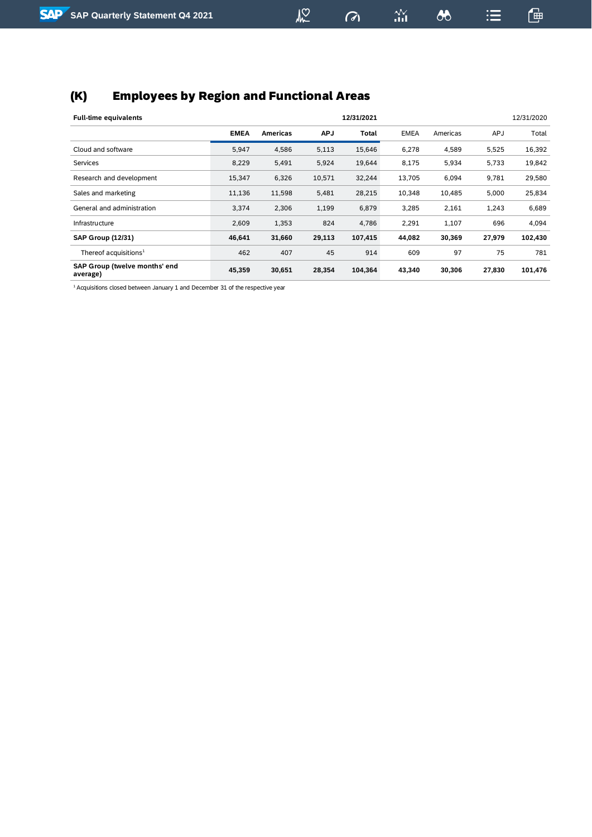## <span id="page-32-0"></span>(K) Employees by Region and Functional Areas

| <b>Full-time equivalents</b>              |             | 12/31/2021<br>12/31/2020 |            |         |             |          |            |         |  |  |  |  |
|-------------------------------------------|-------------|--------------------------|------------|---------|-------------|----------|------------|---------|--|--|--|--|
|                                           | <b>EMEA</b> | <b>Americas</b>          | <b>APJ</b> | Total   | <b>EMEA</b> | Americas | <b>APJ</b> | Total   |  |  |  |  |
| Cloud and software                        | 5,947       | 4,586                    | 5,113      | 15,646  | 6,278       | 4,589    | 5,525      | 16,392  |  |  |  |  |
| Services                                  | 8,229       | 5,491                    | 5,924      | 19,644  | 8,175       | 5,934    | 5,733      | 19,842  |  |  |  |  |
| Research and development                  | 15,347      | 6,326                    | 10,571     | 32,244  | 13,705      | 6,094    | 9,781      | 29,580  |  |  |  |  |
| Sales and marketing                       | 11,136      | 11,598                   | 5,481      | 28,215  | 10,348      | 10,485   | 5,000      | 25,834  |  |  |  |  |
| General and administration                | 3,374       | 2,306                    | 1,199      | 6,879   | 3,285       | 2,161    | 1,243      | 6,689   |  |  |  |  |
| <b>Infrastructure</b>                     | 2,609       | 1,353                    | 824        | 4,786   | 2,291       | 1,107    | 696        | 4,094   |  |  |  |  |
| <b>SAP Group (12/31)</b>                  | 46,641      | 31,660                   | 29,113     | 107,415 | 44,082      | 30,369   | 27,979     | 102,430 |  |  |  |  |
| Thereof acquisitions $1$                  | 462         | 407                      | 45         | 914     | 609         | 97       | 75         | 781     |  |  |  |  |
| SAP Group (twelve months' end<br>average) | 45,359      | 30,651                   | 28,354     | 104,364 | 43,340      | 30,306   | 27,830     | 101,476 |  |  |  |  |

1 Acquisitions closed between January 1 and December 31 of the respective year

 $\omega$ 

 $\frac{2\mathcal{N}}{111}$ 

 $\boldsymbol{\omega}$ 

鱼

 $\mathrel{\mathop:}=$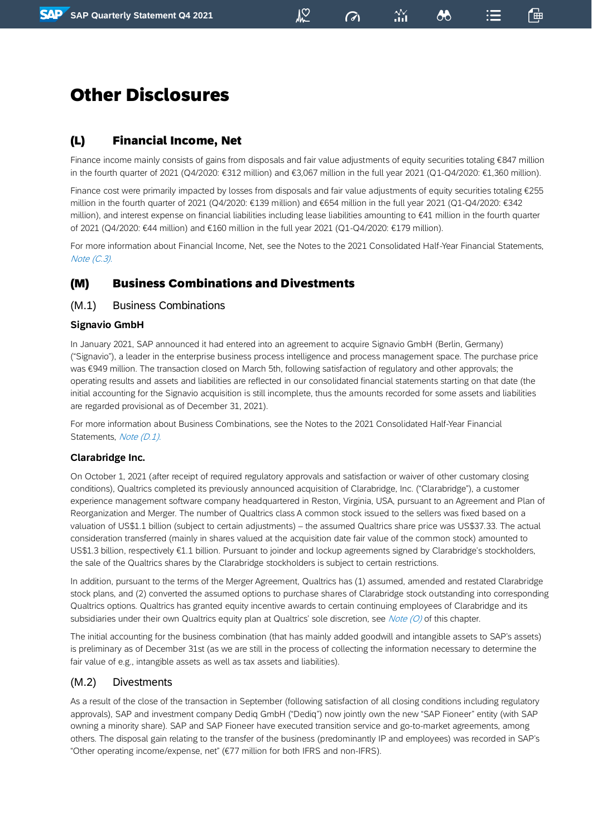#### $\mathbb{Z}$

 $\omega$ 

෯

## <span id="page-33-0"></span>Other Disclosures

## <span id="page-33-1"></span>(L) Financial Income, Net

Finance income mainly consists of gains from disposals and fair value adjustments of equity securities totaling €847 million in the fourth quarter of 2021 (Q4/2020: €312 million) and €3,067 million in the full year 2021 (Q1-Q4/2020: €1,360 million).

Finance cost were primarily impacted by losses from disposals and fair value adjustments of equity securities totaling €255 million in the fourth quarter of 2021 (Q4/2020: €139 million) and €654 million in the full year 2021 (Q1-Q4/2020: €342 million), and interest expense on financial liabilities including lease liabilities amounting to €41 million in the fourth quarter of 2021 (Q4/2020: €44 million) and €160 million in the full year 2021 (Q1-Q4/2020: €179 million).

For more information about Financial Income, Net, see the Notes to the 2021 Consolidated Half-Year Financial Statements, Note (C.3).

## <span id="page-33-2"></span>(M) Business Combinations and Divestments

#### <span id="page-33-3"></span>(M.1) Business Combinations

#### **Signavio GmbH**

In January 2021, SAP announced it had entered into an agreement to acquire Signavio GmbH (Berlin, Germany) ("Signavio"), a leader in the enterprise business process intelligence and process management space. The purchase price was €949 million. The transaction closed on March 5th, following satisfaction of regulatory and other approvals; the operating results and assets and liabilities are reflected in our consolidated financial statements starting on that date (the initial accounting for the Signavio acquisition is still incomplete, thus the amounts recorded for some assets and liabilities are regarded provisional as of December 31, 2021).

For more information about Business Combinations, see the Notes to the 2021 Consolidated Half-Year Financial Statements, Note (D.1).

#### **Clarabridge Inc.**

On October 1, 2021 (after receipt of required regulatory approvals and satisfaction or waiver of other customary closing conditions), Qualtrics completed its previously announced acquisition of Clarabridge, Inc. ("Clarabridge"), a customer experience management software company headquartered in Reston, Virginia, USA, pursuant to an Agreement and Plan of Reorganization and Merger. The number of Qualtrics class A common stock issued to the sellers was fixed based on a valuation of US\$1.1 billion (subject to certain adjustments) – the assumed Qualtrics share price was US\$37.33. The actual consideration transferred (mainly in shares valued at the acquisition date fair value of the common stock) amounted to US\$1.3 billion, respectively €1.1 billion. Pursuant to joinder and lockup agreements signed by Clarabridge's stockholders, the sale of the Qualtrics shares by the Clarabridge stockholders is subject to certain restrictions.

In addition, pursuant to the terms of the Merger Agreement, Qualtrics has (1) assumed, amended and restated Clarabridge stock plans, and (2) converted the assumed options to purchase shares of Clarabridge stock outstanding into corresponding Qualtrics options. Qualtrics has granted equity incentive awards to certain continuing employees of Clarabridge and its subsidiaries under their own Qualtrics equity plan at Qualtrics' sole discretion, see Note (O) of this chapter.

The initial accounting for the business combination (that has mainly added goodwill and intangible assets to SAP's assets) is preliminary as of December 31st (as we are still in the process of collecting the information necessary to determine the fair value of e.g., intangible assets as well as tax assets and liabilities).

#### <span id="page-33-4"></span>(M.2) Divestments

As a result of the close of the transaction in September (following satisfaction of all closing conditions including regulatory approvals), SAP and investment company Dediq GmbH ("Dediq") now jointly own the new "SAP Fioneer" entity (with SAP owning a minority share). SAP and SAP Fioneer have executed transition service and go-to-market agreements, among others. The disposal gain relating to the transfer of the business (predominantly IP and employees) was recorded in SAP's "Other operating income/expense, net" (€77 million for both IFRS and non-IFRS).